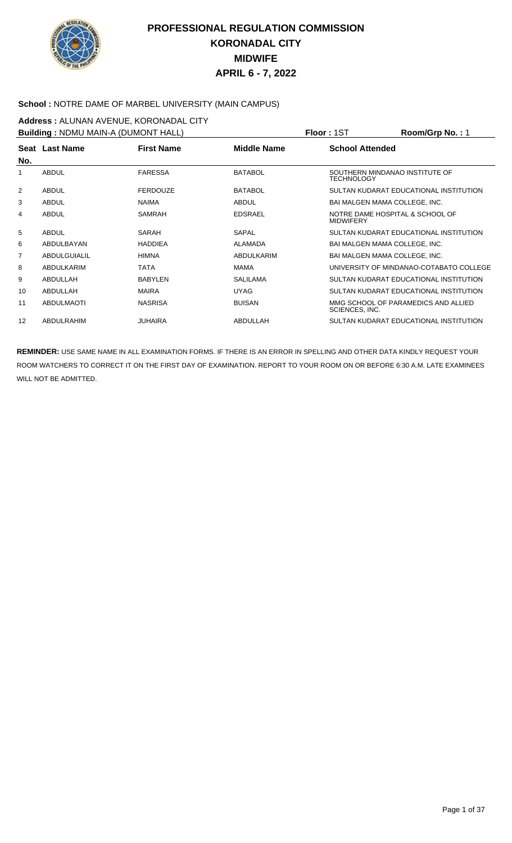

#### **School :** NOTRE DAME OF MARBEL UNIVERSITY (MAIN CAMPUS)

**Address :** ALUNAN AVENUE, KORONADAL CITY **Building :** NDMU MAIN-A (DUMONT HALL) **Floor :** 1ST **Room/Grp No. :** 1

| <b>Building:</b> NDMU MAIN-A (DUMONT HALL) |                   |                   |                    | PIOOF: ISI             | ROOM/GID NO. : 1                        |
|--------------------------------------------|-------------------|-------------------|--------------------|------------------------|-----------------------------------------|
|                                            | Seat Last Name    | <b>First Name</b> | <b>Middle Name</b> | <b>School Attended</b> |                                         |
| No.                                        |                   |                   |                    |                        |                                         |
| 1                                          | <b>ABDUL</b>      | <b>FARESSA</b>    | <b>BATABOL</b>     | TECHNOLOGY             | SOUTHERN MINDANAO INSTITUTE OF          |
| 2                                          | <b>ABDUL</b>      | <b>FERDOUZE</b>   | <b>BATABOL</b>     |                        | SULTAN KUDARAT EDUCATIONAL INSTITUTION  |
| 3                                          | <b>ABDUL</b>      | <b>NAIMA</b>      | <b>ABDUL</b>       |                        | BAI MALGEN MAMA COLLEGE, INC.           |
| 4                                          | <b>ABDUL</b>      | <b>SAMRAH</b>     | <b>EDSRAEL</b>     | <b>MIDWIFERY</b>       | NOTRE DAME HOSPITAL & SCHOOL OF         |
| 5                                          | <b>ABDUL</b>      | SARAH             | SAPAL              |                        | SULTAN KUDARAT EDUCATIONAL INSTITUTION  |
| 6                                          | ABDULBAYAN        | <b>HADDIEA</b>    | <b>ALAMADA</b>     |                        | BAI MALGEN MAMA COLLEGE, INC.           |
| $\overline{7}$                             | ABDULGUIALIL      | <b>HIMNA</b>      | ABDULKARIM         |                        | <b>BAI MALGEN MAMA COLLEGE. INC.</b>    |
| 8                                          | ABDULKARIM        | <b>TATA</b>       | <b>MAMA</b>        |                        | UNIVERSITY OF MINDANAO-COTABATO COLLEGE |
| 9                                          | ABDULLAH          | <b>BABYLEN</b>    | <b>SALILAMA</b>    |                        | SULTAN KUDARAT EDUCATIONAL INSTITUTION  |
| 10                                         | ABDULLAH          | <b>MAIRA</b>      | <b>UYAG</b>        |                        | SULTAN KUDARAT EDUCATIONAL INSTITUTION  |
| 11                                         | <b>ABDULMAOTI</b> | <b>NASRISA</b>    | <b>BUISAN</b>      | SCIENCES, INC.         | MMG SCHOOL OF PARAMEDICS AND ALLIED     |
| 12                                         | ABDULRAHIM        | <b>JUHAIRA</b>    | ABDULLAH           |                        | SULTAN KUDARAT EDUCATIONAL INSTITUTION  |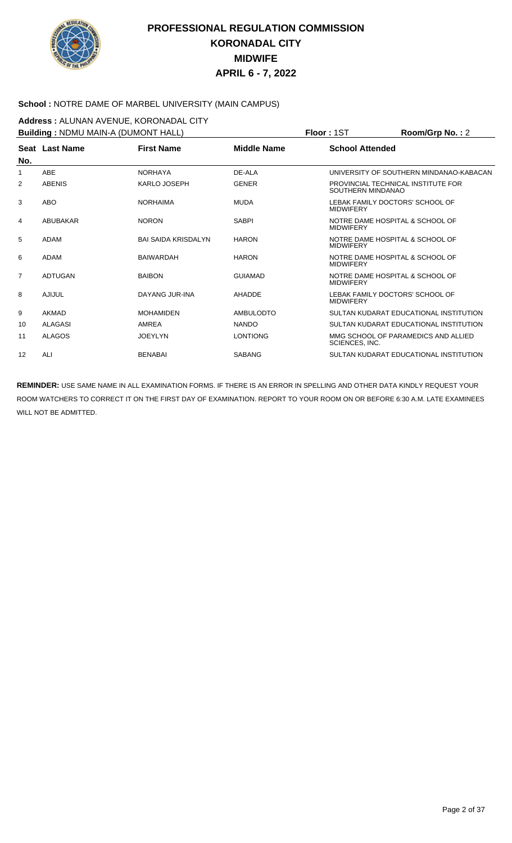

#### **School :** NOTRE DAME OF MARBEL UNIVERSITY (MAIN CAMPUS)

**Address :** ALUNAN AVENUE, KORONADAL CITY **Building :** NDMU MAIN-A (DUMONT HALL) **Floor :** 1ST **Room/Grp No. :** 2

|     |                                     | <b>Building:</b> NDMU MAIN-A (DUMONT HALL) | <b>FIOOL:</b> 121  | $\text{Room/Grp}$ No. : $\angle$ |                                         |  |
|-----|-------------------------------------|--------------------------------------------|--------------------|----------------------------------|-----------------------------------------|--|
|     | <b>First Name</b><br>Seat Last Name |                                            | <b>Middle Name</b> | <b>School Attended</b>           |                                         |  |
| No. |                                     |                                            |                    |                                  |                                         |  |
| 1   | <b>ABE</b>                          | <b>NORHAYA</b>                             | DE-ALA             |                                  | UNIVERSITY OF SOUTHERN MINDANAO-KABACAN |  |
| 2   | <b>ABENIS</b>                       | KARLO JOSEPH                               | <b>GENER</b>       | SOUTHERN MINDANAO                | PROVINCIAL TECHNICAL INSTITUTE FOR      |  |
| 3   | <b>ABO</b>                          | <b>NORHAIMA</b>                            | <b>MUDA</b>        | <b>MIDWIFERY</b>                 | LEBAK FAMILY DOCTORS' SCHOOL OF         |  |
| 4   | ABUBAKAR                            | <b>NORON</b>                               | <b>SABPI</b>       | <b>MIDWIFERY</b>                 | NOTRE DAME HOSPITAL & SCHOOL OF         |  |
| 5   | ADAM                                | <b>BAI SAIDA KRISDALYN</b>                 | <b>HARON</b>       | <b>MIDWIFERY</b>                 | NOTRE DAME HOSPITAL & SCHOOL OF         |  |
| 6   | ADAM                                | <b>BAIWARDAH</b>                           | <b>HARON</b>       | <b>MIDWIFERY</b>                 | NOTRE DAME HOSPITAL & SCHOOL OF         |  |
| 7   | <b>ADTUGAN</b>                      | <b>BAIBON</b>                              | <b>GUIAMAD</b>     | <b>MIDWIFERY</b>                 | NOTRE DAME HOSPITAL & SCHOOL OF         |  |
| 8   | AJIJUL                              | DAYANG JUR-INA                             | AHADDE             | <b>MIDWIFERY</b>                 | LEBAK FAMILY DOCTORS' SCHOOL OF         |  |
| 9   | AKMAD                               | <b>MOHAMIDEN</b>                           | <b>AMBULODTO</b>   |                                  | SULTAN KUDARAT EDUCATIONAL INSTITUTION  |  |
| 10  | <b>ALAGASI</b>                      | AMREA                                      | <b>NANDO</b>       |                                  | SULTAN KUDARAT EDUCATIONAL INSTITUTION  |  |
| 11  | <b>ALAGOS</b>                       | <b>JOEYLYN</b>                             | <b>LONTIONG</b>    | SCIENCES, INC.                   | MMG SCHOOL OF PARAMEDICS AND ALLIED     |  |
| 12  | ALI                                 | <b>BENABAI</b>                             | <b>SABANG</b>      |                                  | SULTAN KUDARAT EDUCATIONAL INSTITUTION  |  |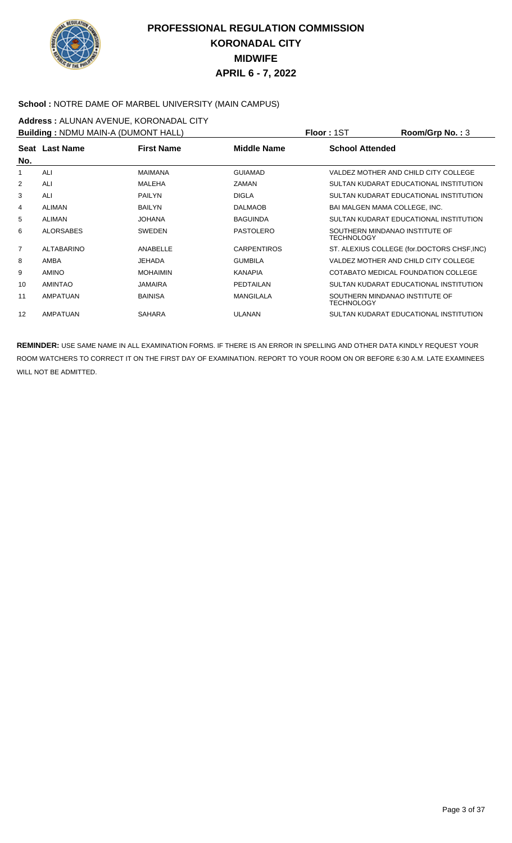

#### **School :** NOTRE DAME OF MARBEL UNIVERSITY (MAIN CAMPUS)

**Address :** ALUNAN AVENUE, KORONADAL CITY **Building :** NDMU MAIN-A (DUMONT HALL) **Floor :** 1ST **Room/Grp No. :** 3

| <b>Building:</b> NDMU MAIN-A (DUMONT HALL) |                   |                   |                    | <b>FIOOL:</b> 121<br>ROOM/Grp No.: 3         |
|--------------------------------------------|-------------------|-------------------|--------------------|----------------------------------------------|
| Seat<br>No.                                | <b>Last Name</b>  | <b>First Name</b> | <b>Middle Name</b> | <b>School Attended</b>                       |
| 1                                          | ALI               | <b>MAIMANA</b>    | <b>GUIAMAD</b>     | VALDEZ MOTHER AND CHILD CITY COLLEGE         |
| $\overline{2}$                             | ALI               | MALEHA            | <b>ZAMAN</b>       | SULTAN KUDARAT EDUCATIONAL INSTITUTION       |
| 3                                          | ALI               | <b>PAILYN</b>     | <b>DIGLA</b>       | SULTAN KUDARAT EDUCATIONAL INSTITUTION       |
| 4                                          | <b>ALIMAN</b>     | <b>BAILYN</b>     | <b>DALMAOB</b>     | BAI MALGEN MAMA COLLEGE, INC.                |
| 5                                          | <b>ALIMAN</b>     | <b>JOHANA</b>     | <b>BAGUINDA</b>    | SULTAN KUDARAT EDUCATIONAL INSTITUTION       |
| 6                                          | <b>ALORSABES</b>  | <b>SWEDEN</b>     | <b>PASTOLERO</b>   | SOUTHERN MINDANAO INSTITUTE OF<br>TECHNOLOGY |
| $\overline{7}$                             | <b>ALTABARINO</b> | ANABELLE          | <b>CARPENTIROS</b> | ST. ALEXIUS COLLEGE (for.DOCTORS CHSF, INC)  |
| 8                                          | AMBA              | <b>JEHADA</b>     | <b>GUMBILA</b>     | VALDEZ MOTHER AND CHILD CITY COLLEGE         |
| 9                                          | <b>AMINO</b>      | <b>MOHAIMIN</b>   | <b>KANAPIA</b>     | COTABATO MEDICAL FOUNDATION COLLEGE          |
| 10                                         | AMINTAO           | <b>JAMAIRA</b>    | PEDTAILAN          | SULTAN KUDARAT EDUCATIONAL INSTITUTION       |
| 11                                         | AMPATUAN          | <b>BAINISA</b>    | <b>MANGILALA</b>   | SOUTHERN MINDANAO INSTITUTE OF<br>TECHNOLOGY |
| 12                                         | AMPATUAN          | <b>SAHARA</b>     | <b>ULANAN</b>      | SULTAN KUDARAT EDUCATIONAL INSTITUTION       |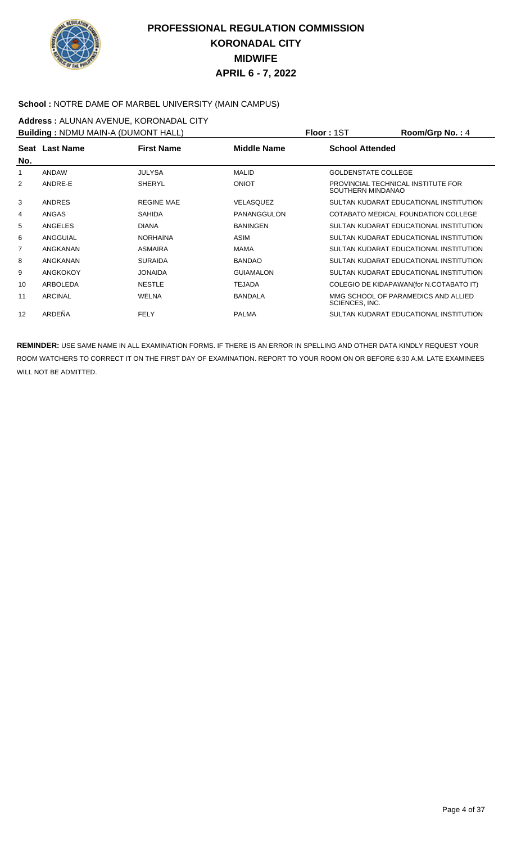

#### **School :** NOTRE DAME OF MARBEL UNIVERSITY (MAIN CAMPUS)

**Address :** ALUNAN AVENUE, KORONADAL CITY **Building :** NDMU MAIN-A (DUMONT HALL) **Floor :** 1ST **Room/Grp No. :** 4

| <b>BUILDING . INDIVIDUATIN-A (DUIVIONT HALL)</b> |                 |                   |                  | FIUUI . I 3 I<br>$\overline{N}$                         |
|--------------------------------------------------|-----------------|-------------------|------------------|---------------------------------------------------------|
| No.                                              | Seat Last Name  | <b>First Name</b> | Middle Name      | <b>School Attended</b>                                  |
| 1                                                | ANDAW           | <b>JULYSA</b>     | <b>MALID</b>     | <b>GOLDENSTATE COLLEGE</b>                              |
| 2                                                | ANDRE-E         | <b>SHERYL</b>     | <b>ONIOT</b>     | PROVINCIAL TECHNICAL INSTITUTE FOR<br>SOUTHERN MINDANAO |
| 3                                                | <b>ANDRES</b>   | <b>REGINE MAE</b> | VELASQUEZ        | SULTAN KUDARAT EDUCATIONAL INSTITUTION                  |
| 4                                                | ANGAS           | <b>SAHIDA</b>     | PANANGGULON      | COTABATO MEDICAL FOUNDATION COLLEGE                     |
| 5                                                | ANGELES         | <b>DIANA</b>      | <b>BANINGEN</b>  | SULTAN KUDARAT EDUCATIONAL INSTITUTION                  |
| 6                                                | ANGGUIAL        | <b>NORHAINA</b>   | ASIM             | SULTAN KUDARAT EDUCATIONAL INSTITUTION                  |
| $\overline{7}$                                   | ANGKANAN        | <b>ASMAIRA</b>    | <b>MAMA</b>      | SULTAN KUDARAT EDUCATIONAL INSTITUTION                  |
| 8                                                | ANGKANAN        | <b>SURAIDA</b>    | <b>BANDAO</b>    | SULTAN KUDARAT EDUCATIONAL INSTITUTION                  |
| 9                                                | <b>ANGKOKOY</b> | <b>JONAIDA</b>    | <b>GUIAMALON</b> | SULTAN KUDARAT EDUCATIONAL INSTITUTION                  |
| 10                                               | ARBOLEDA        | <b>NESTLE</b>     | <b>TEJADA</b>    | COLEGIO DE KIDAPAWAN(for N.COTABATO IT)                 |
| 11                                               | <b>ARCINAL</b>  | WELNA             | <b>BANDALA</b>   | MMG SCHOOL OF PARAMEDICS AND ALLIED<br>SCIENCES, INC.   |
| 12                                               | ARDEÑA          | <b>FELY</b>       | <b>PALMA</b>     | SULTAN KUDARAT EDUCATIONAL INSTITUTION                  |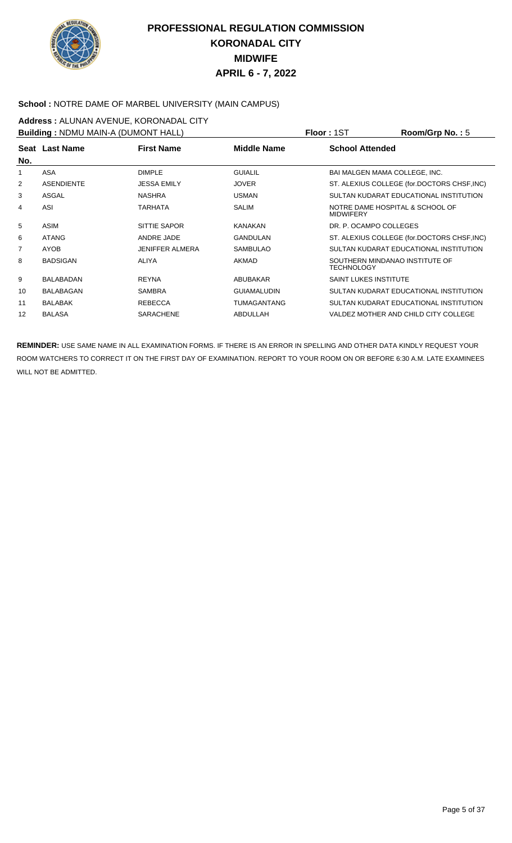

#### **School :** NOTRE DAME OF MARBEL UNIVERSITY (MAIN CAMPUS)

#### **Address :** ALUNAN AVENUE, KORONADAL CITY **Building :** NDMU MAIN-A (DUMONT HALL) **Floor :** 1ST **Room/Grp No. :** 5

| <b>Bullaing: NDMU MAIN-A (DUMONT HALL)</b> |                   |                        |                    | PIOOF: ISI<br><b>ROOM/GID NO. : 5</b>               |
|--------------------------------------------|-------------------|------------------------|--------------------|-----------------------------------------------------|
| No.                                        | Seat Last Name    | <b>First Name</b>      | <b>Middle Name</b> | <b>School Attended</b>                              |
| 1                                          | ASA               | <b>DIMPLE</b>          | <b>GUIALIL</b>     | BAI MALGEN MAMA COLLEGE, INC.                       |
| 2                                          | <b>ASENDIENTE</b> | <b>JESSA EMILY</b>     | <b>JOVER</b>       | ST. ALEXIUS COLLEGE (for.DOCTORS CHSF, INC)         |
| 3                                          | ASGAL             | <b>NASHRA</b>          | <b>USMAN</b>       | SULTAN KUDARAT EDUCATIONAL INSTITUTION              |
| 4                                          | ASI               | TARHATA                | <b>SALIM</b>       | NOTRE DAME HOSPITAL & SCHOOL OF<br><b>MIDWIFERY</b> |
| 5                                          | ASIM              | SITTIE SAPOR           | <b>KANAKAN</b>     | DR. P. OCAMPO COLLEGES                              |
| 6                                          | <b>ATANG</b>      | ANDRE JADE             | GANDULAN           | ST. ALEXIUS COLLEGE (for.DOCTORS CHSF, INC)         |
| 7                                          | AYOB              | <b>JENIFFER ALMERA</b> | <b>SAMBULAO</b>    | SULTAN KUDARAT EDUCATIONAL INSTITUTION              |
| 8                                          | <b>BADSIGAN</b>   | <b>ALIYA</b>           | AKMAD              | SOUTHERN MINDANAO INSTITUTE OF<br><b>TECHNOLOGY</b> |
| 9                                          | <b>BALABADAN</b>  | <b>REYNA</b>           | ABUBAKAR           | <b>SAINT LUKES INSTITUTE</b>                        |
| 10                                         | <b>BALABAGAN</b>  | <b>SAMBRA</b>          | <b>GUIAMALUDIN</b> | SULTAN KUDARAT EDUCATIONAL INSTITUTION              |
| 11                                         | <b>BALABAK</b>    | <b>REBECCA</b>         | <b>TUMAGANTANG</b> | SULTAN KUDARAT EDUCATIONAL INSTITUTION              |
| 12                                         | <b>BALASA</b>     | <b>SARACHENE</b>       | ABDULLAH           | VALDEZ MOTHER AND CHILD CITY COLLEGE                |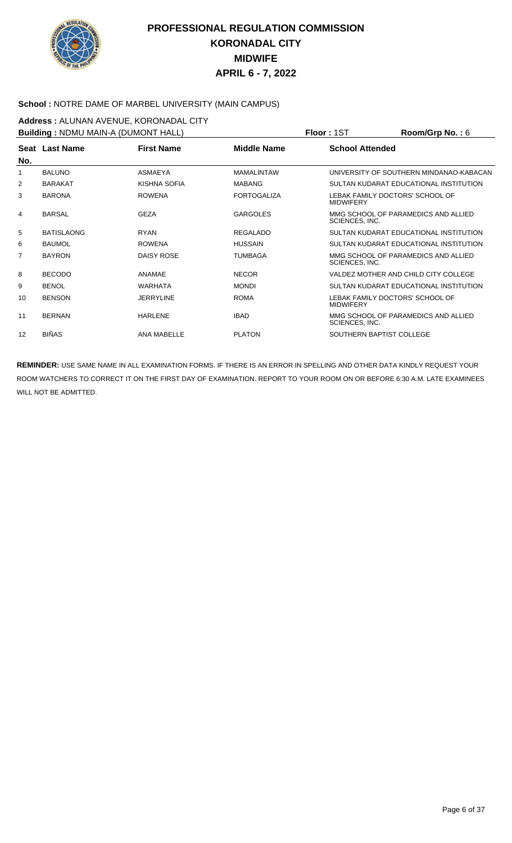

#### **School :** NOTRE DAME OF MARBEL UNIVERSITY (MAIN CAMPUS)

**Address :** ALUNAN AVENUE, KORONADAL CITY **Building :** NDMU MAIN-A (DUMONT HALL) **Floor :** 1ST **Room/Grp No. :** 6

| <b>BUILDING . INDIVIDUATIVE LOUINDIN LITALL!</b> |                   |                   |                    | <b>гюл. 191</b>        | <b>NUUIIIUI U IVU.</b> . U              |
|--------------------------------------------------|-------------------|-------------------|--------------------|------------------------|-----------------------------------------|
|                                                  | Seat Last Name    | <b>First Name</b> | <b>Middle Name</b> | <b>School Attended</b> |                                         |
| No.                                              |                   |                   |                    |                        |                                         |
|                                                  | <b>BALUNO</b>     | <b>ASMAEYA</b>    | <b>MAMALINTAW</b>  |                        | UNIVERSITY OF SOUTHERN MINDANAO-KABACAN |
| 2                                                | <b>BARAKAT</b>    | KISHNA SOFIA      | <b>MABANG</b>      |                        | SULTAN KUDARAT EDUCATIONAL INSTITUTION  |
| 3                                                | <b>BARONA</b>     | <b>ROWENA</b>     | <b>FORTOGALIZA</b> | <b>MIDWIFERY</b>       | LEBAK FAMILY DOCTORS' SCHOOL OF         |
| 4                                                | <b>BARSAL</b>     | <b>GEZA</b>       | <b>GARGOLES</b>    | SCIENCES, INC.         | MMG SCHOOL OF PARAMEDICS AND ALLIED     |
| 5                                                | <b>BATISLAONG</b> | <b>RYAN</b>       | <b>REGALADO</b>    |                        | SULTAN KUDARAT EDUCATIONAL INSTITUTION  |
| 6                                                | <b>BAUMOL</b>     | <b>ROWENA</b>     | <b>HUSSAIN</b>     |                        | SULTAN KUDARAT EDUCATIONAL INSTITUTION  |
| 7                                                | <b>BAYRON</b>     | DAISY ROSE        | <b>TUMBAGA</b>     | SCIENCES, INC.         | MMG SCHOOL OF PARAMEDICS AND ALLIED     |
| 8                                                | <b>BECODO</b>     | ANAMAE            | <b>NECOR</b>       |                        | VALDEZ MOTHER AND CHILD CITY COLLEGE    |
| 9                                                | <b>BENOL</b>      | <b>WARHATA</b>    | <b>MONDI</b>       |                        | SULTAN KUDARAT EDUCATIONAL INSTITUTION  |
| 10                                               | <b>BENSON</b>     | <b>JERRYLINE</b>  | <b>ROMA</b>        | <b>MIDWIFERY</b>       | LEBAK FAMILY DOCTORS' SCHOOL OF         |
| 11                                               | <b>BERNAN</b>     | <b>HARLENE</b>    | <b>IBAD</b>        | SCIENCES, INC.         | MMG SCHOOL OF PARAMEDICS AND ALLIED     |
| 12                                               | <b>BIÑAS</b>      | ANA MABELLE       | <b>PLATON</b>      |                        | SOUTHERN BAPTIST COLLEGE                |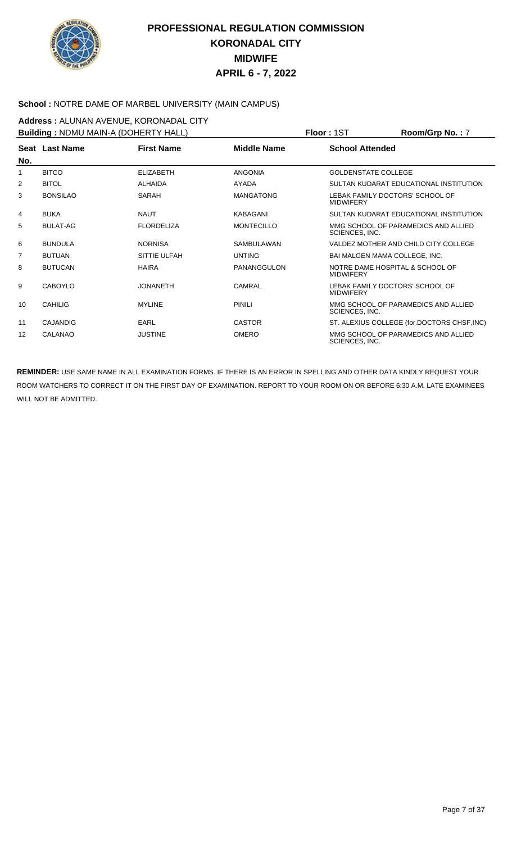

#### **School :** NOTRE DAME OF MARBEL UNIVERSITY (MAIN CAMPUS)

**Address :** ALUNAN AVENUE, KORONADAL CITY **Building :** NDMU MAIN-A (DOHERTY HALL) **Floor :** 1ST **Room/Grp No. :** 7

| <b>Building:</b> NDMU MAIN-A (DOHERTY HALL) |                 |                   |                   | <b>FIOOL:</b> 121          | $K$ oom/Grp No. : /                         |
|---------------------------------------------|-----------------|-------------------|-------------------|----------------------------|---------------------------------------------|
|                                             | Seat Last Name  | <b>First Name</b> | Middle Name       | <b>School Attended</b>     |                                             |
| No.                                         |                 |                   |                   |                            |                                             |
| 1                                           | <b>BITCO</b>    | <b>ELIZABETH</b>  | <b>ANGONIA</b>    | <b>GOLDENSTATE COLLEGE</b> |                                             |
| 2                                           | <b>BITOL</b>    | <b>ALHAIDA</b>    | AYADA             |                            | SULTAN KUDARAT EDUCATIONAL INSTITUTION      |
| 3                                           | <b>BONSILAO</b> | SARAH             | <b>MANGATONG</b>  | <b>MIDWIFERY</b>           | LEBAK FAMILY DOCTORS' SCHOOL OF             |
| 4                                           | <b>BUKA</b>     | <b>NAUT</b>       | <b>KABAGANI</b>   |                            | SULTAN KUDARAT EDUCATIONAL INSTITUTION      |
| 5                                           | <b>BULAT-AG</b> | <b>FLORDELIZA</b> | <b>MONTECILLO</b> | SCIENCES, INC.             | MMG SCHOOL OF PARAMEDICS AND ALLIED         |
| 6                                           | <b>BUNDULA</b>  | <b>NORNISA</b>    | <b>SAMBULAWAN</b> |                            | VALDEZ MOTHER AND CHILD CITY COLLEGE        |
| $\overline{7}$                              | <b>BUTUAN</b>   | SITTIE ULFAH      | <b>UNTING</b>     |                            | <b>BAI MALGEN MAMA COLLEGE, INC.</b>        |
| 8                                           | <b>BUTUCAN</b>  | <b>HAIRA</b>      | PANANGGULON       | <b>MIDWIFERY</b>           | NOTRE DAME HOSPITAL & SCHOOL OF             |
| 9                                           | <b>CABOYLO</b>  | <b>JONANETH</b>   | <b>CAMRAL</b>     | <b>MIDWIFERY</b>           | LEBAK FAMILY DOCTORS' SCHOOL OF             |
| 10                                          | <b>CAHILIG</b>  | <b>MYLINE</b>     | <b>PINILI</b>     | SCIENCES, INC.             | MMG SCHOOL OF PARAMEDICS AND ALLIED         |
| 11                                          | CAJANDIG        | <b>EARL</b>       | <b>CASTOR</b>     |                            | ST. ALEXIUS COLLEGE (for.DOCTORS CHSF, INC) |
| 12                                          | CALANAO         | <b>JUSTINE</b>    | <b>OMERO</b>      | SCIENCES, INC.             | MMG SCHOOL OF PARAMEDICS AND ALLIED         |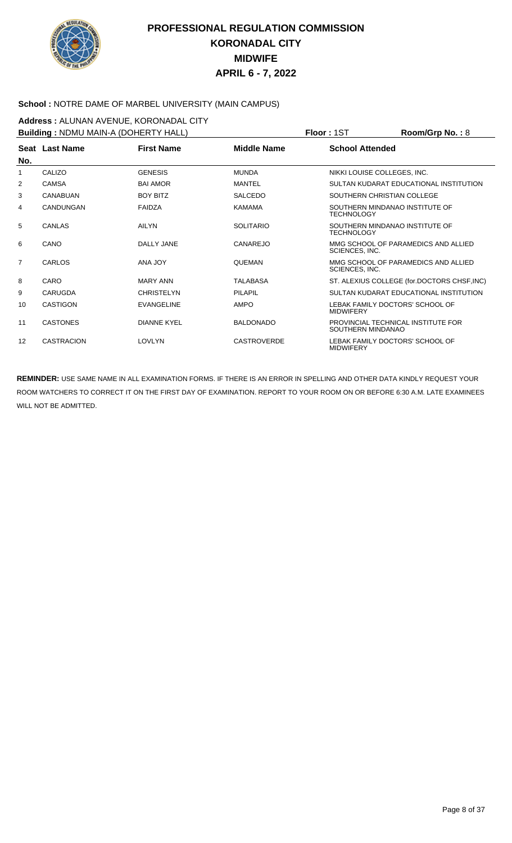

#### **School :** NOTRE DAME OF MARBEL UNIVERSITY (MAIN CAMPUS)

**Address :** ALUNAN AVENUE, KORONADAL CITY **Building :** NDMU MAIN-A (DOHERTY HALL) **Floor :** 1ST **Room/Grp No. :** 8

| <b>Building: NDMU MAIN-A (DOHER IY HALL)</b> |                   |                    |                    | FIOor: 1S1             | $Room/Grp$ No. : $8$                        |
|----------------------------------------------|-------------------|--------------------|--------------------|------------------------|---------------------------------------------|
|                                              | Seat Last Name    | <b>First Name</b>  | Middle Name        | <b>School Attended</b> |                                             |
| No.                                          |                   |                    |                    |                        |                                             |
| 1                                            | CALIZO            | <b>GENESIS</b>     | <b>MUNDA</b>       |                        | NIKKI LOUISE COLLEGES, INC.                 |
| 2                                            | CAMSA             | <b>BAI AMOR</b>    | MANTEL             |                        | SULTAN KUDARAT EDUCATIONAL INSTITUTION      |
| 3                                            | <b>CANABUAN</b>   | <b>BOY BITZ</b>    | <b>SALCEDO</b>     |                        | SOUTHERN CHRISTIAN COLLEGE                  |
| 4                                            | CANDUNGAN         | FAIDZA             | <b>KAMAMA</b>      | <b>TECHNOLOGY</b>      | SOUTHERN MINDANAO INSTITUTE OF              |
| 5                                            | CANLAS            | <b>AILYN</b>       | <b>SOLITARIO</b>   | <b>TECHNOLOGY</b>      | SOUTHERN MINDANAO INSTITUTE OF              |
| 6                                            | CANO              | DALLY JANE         | CANAREJO           | SCIENCES, INC.         | MMG SCHOOL OF PARAMEDICS AND ALLIED         |
| $\overline{7}$                               | CARLOS            | <b>ANA JOY</b>     | <b>QUEMAN</b>      | SCIENCES, INC.         | MMG SCHOOL OF PARAMEDICS AND ALLIED         |
| 8                                            | CARO              | <b>MARY ANN</b>    | <b>TALABASA</b>    |                        | ST. ALEXIUS COLLEGE (for.DOCTORS CHSF, INC) |
| 9                                            | CARUGDA           | <b>CHRISTELYN</b>  | PILAPIL            |                        | SULTAN KUDARAT EDUCATIONAL INSTITUTION      |
| 10                                           | <b>CASTIGON</b>   | <b>EVANGELINE</b>  | <b>AMPO</b>        | <b>MIDWIFERY</b>       | LEBAK FAMILY DOCTORS' SCHOOL OF             |
| 11                                           | <b>CASTONES</b>   | <b>DIANNE KYEL</b> | <b>BALDONADO</b>   | SOUTHERN MINDANAO      | PROVINCIAL TECHNICAL INSTITUTE FOR          |
| 12                                           | <b>CASTRACION</b> | <b>LOVLYN</b>      | <b>CASTROVERDE</b> | <b>MIDWIFERY</b>       | LEBAK FAMILY DOCTORS' SCHOOL OF             |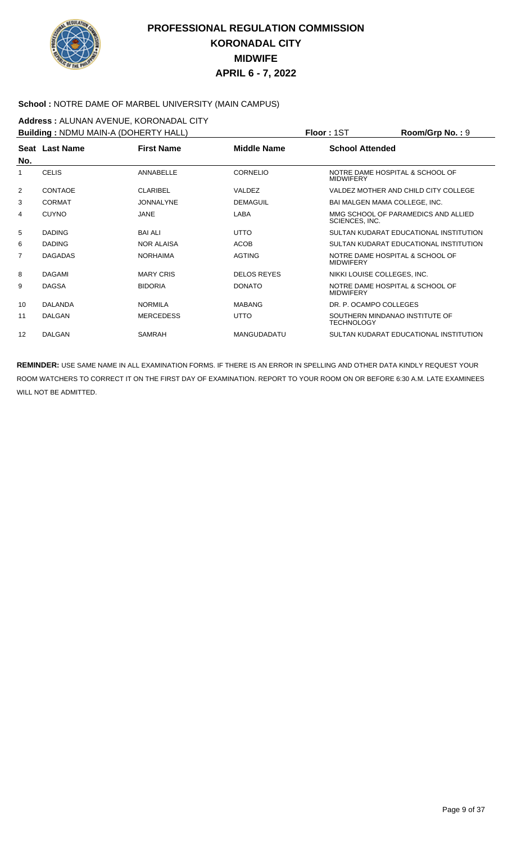

#### **School :** NOTRE DAME OF MARBEL UNIVERSITY (MAIN CAMPUS)

**Address :** ALUNAN AVENUE, KORONADAL CITY **Building :** NDMU MAIN-A (DOHERTY HALL) **Floor :** 1ST **Room/Grp No. :** 9

|     | <b>Building:</b> NDMU MAIN-A (DOHERTY HALL) |                   | <b>Floor:</b> 151  |                                                     | $\text{Room/Grp}$ No. : 9              |
|-----|---------------------------------------------|-------------------|--------------------|-----------------------------------------------------|----------------------------------------|
| No. | Seat Last Name                              | <b>First Name</b> | Middle Name        | <b>School Attended</b>                              |                                        |
|     | <b>CELIS</b>                                | ANNABELLE         | <b>CORNELIO</b>    | NOTRE DAME HOSPITAL & SCHOOL OF<br><b>MIDWIFERY</b> |                                        |
| 2   | <b>CONTAOE</b>                              | <b>CLARIBEL</b>   | VALDEZ             |                                                     | VALDEZ MOTHER AND CHILD CITY COLLEGE   |
| 3   | <b>CORMAT</b>                               | <b>JONNALYNE</b>  | <b>DEMAGUIL</b>    | BAI MALGEN MAMA COLLEGE, INC.                       |                                        |
| 4   | <b>CUYNO</b>                                | <b>JANE</b>       | <b>LABA</b>        | SCIENCES, INC.                                      | MMG SCHOOL OF PARAMEDICS AND ALLIED    |
| 5   | <b>DADING</b>                               | <b>BAI ALI</b>    | UTTO               |                                                     | SULTAN KUDARAT EDUCATIONAL INSTITUTION |
| 6   | <b>DADING</b>                               | <b>NOR ALAISA</b> | <b>ACOB</b>        |                                                     | SULTAN KUDARAT EDUCATIONAL INSTITUTION |
| 7   | <b>DAGADAS</b>                              | <b>NORHAIMA</b>   | <b>AGTING</b>      | NOTRE DAME HOSPITAL & SCHOOL OF<br><b>MIDWIFERY</b> |                                        |
| 8   | <b>DAGAMI</b>                               | <b>MARY CRIS</b>  | <b>DELOS REYES</b> | NIKKI LOUISE COLLEGES, INC.                         |                                        |
| 9   | <b>DAGSA</b>                                | <b>BIDORIA</b>    | <b>DONATO</b>      | NOTRE DAME HOSPITAL & SCHOOL OF<br><b>MIDWIFERY</b> |                                        |
| 10  | <b>DALANDA</b>                              | <b>NORMILA</b>    | <b>MABANG</b>      | DR. P. OCAMPO COLLEGES                              |                                        |
| 11  | <b>DALGAN</b>                               | <b>MERCEDESS</b>  | <b>UTTO</b>        | SOUTHERN MINDANAO INSTITUTE OF<br><b>TECHNOLOGY</b> |                                        |
| 12  | <b>DALGAN</b>                               | <b>SAMRAH</b>     | <b>MANGUDADATU</b> |                                                     | SULTAN KUDARAT EDUCATIONAL INSTITUTION |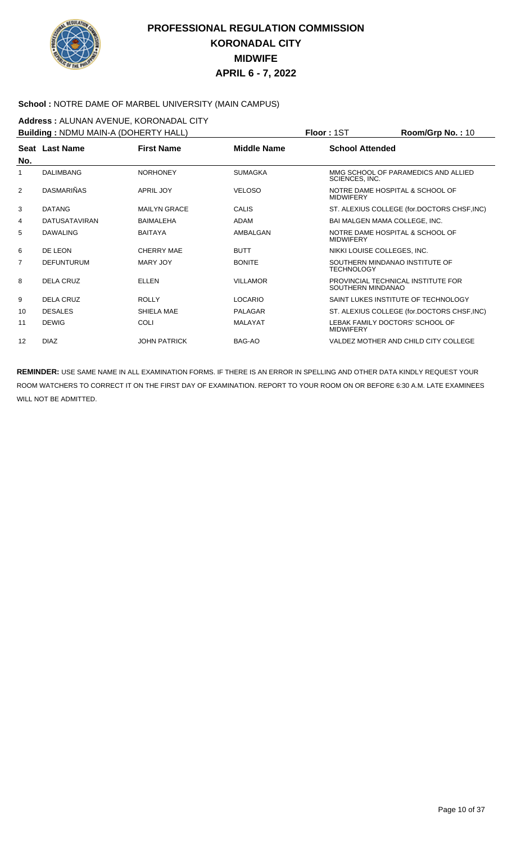

#### **School :** NOTRE DAME OF MARBEL UNIVERSITY (MAIN CAMPUS)

**Address :** ALUNAN AVENUE, KORONADAL CITY **Building :** NDMU MAIN-A (DOHERTY HALL) **Floor :** 1ST **Room/Grp No. :** 10

|     | <b>Building:</b> NDMU MAIN-A (DOHERTY HALL) |                     | <b>FIOOL:</b> 121 | <b>ROOM/Grp NO.: 10</b> |                                             |
|-----|---------------------------------------------|---------------------|-------------------|-------------------------|---------------------------------------------|
|     | Seat Last Name                              | <b>First Name</b>   | Middle Name       | <b>School Attended</b>  |                                             |
| No. |                                             |                     |                   |                         |                                             |
|     | <b>DALIMBANG</b>                            | <b>NORHONEY</b>     | <b>SUMAGKA</b>    | SCIENCES, INC.          | MMG SCHOOL OF PARAMEDICS AND ALLIED         |
| 2   | <b>DASMARIÑAS</b>                           | APRIL JOY           | <b>VELOSO</b>     | <b>MIDWIFERY</b>        | NOTRE DAME HOSPITAL & SCHOOL OF             |
| 3   | <b>DATANG</b>                               | <b>MAILYN GRACE</b> | CALIS             |                         | ST. ALEXIUS COLLEGE (for.DOCTORS CHSF, INC) |
| 4   | <b>DATUSATAVIRAN</b>                        | <b>BAIMALEHA</b>    | <b>ADAM</b>       |                         | BAI MALGEN MAMA COLLEGE, INC.               |
| 5   | <b>DAWALING</b>                             | <b>BAITAYA</b>      | AMBALGAN          | <b>MIDWIFERY</b>        | NOTRE DAME HOSPITAL & SCHOOL OF             |
| 6   | DE LEON                                     | <b>CHERRY MAE</b>   | <b>BUTT</b>       |                         | NIKKI LOUISE COLLEGES, INC.                 |
| 7   | <b>DEFUNTURUM</b>                           | <b>MARY JOY</b>     | <b>BONITE</b>     | <b>TECHNOLOGY</b>       | SOUTHERN MINDANAO INSTITUTE OF              |
| 8   | <b>DELA CRUZ</b>                            | <b>ELLEN</b>        | <b>VILLAMOR</b>   | SOUTHERN MINDANAO       | PROVINCIAL TECHNICAL INSTITUTE FOR          |
| 9   | <b>DELA CRUZ</b>                            | <b>ROLLY</b>        | <b>LOCARIO</b>    |                         | SAINT LUKES INSTITUTE OF TECHNOLOGY         |
| 10  | <b>DESALES</b>                              | SHIELA MAE          | <b>PALAGAR</b>    |                         | ST. ALEXIUS COLLEGE (for.DOCTORS CHSF, INC) |
| 11  | <b>DEWIG</b>                                | <b>COLI</b>         | <b>MALAYAT</b>    | <b>MIDWIFERY</b>        | LEBAK FAMILY DOCTORS' SCHOOL OF             |
| 12  | <b>DIAZ</b>                                 | <b>JOHN PATRICK</b> | BAG-AO            |                         | VALDEZ MOTHER AND CHILD CITY COLLEGE        |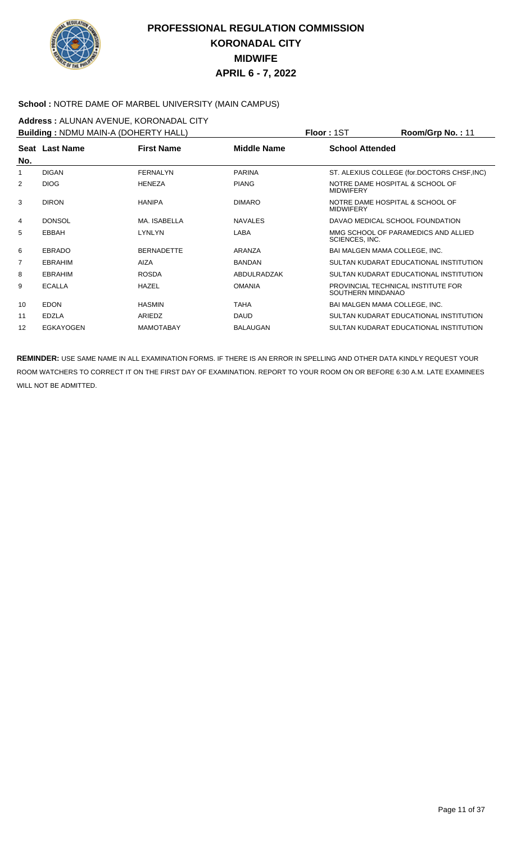

#### **School :** NOTRE DAME OF MARBEL UNIVERSITY (MAIN CAMPUS)

**Address :** ALUNAN AVENUE, KORONADAL CITY **Building :** NDMU MAIN-A (DOHERTY HALL) **Floor :** 1ST **Room/Grp No. :** 11

| <b>Building:</b> NDMU MAIN-A (DOHERTY HALL) |                  |                   |                | PIOOF: 151             | ROOM/Grp No. : TT                           |
|---------------------------------------------|------------------|-------------------|----------------|------------------------|---------------------------------------------|
|                                             | Seat Last Name   | <b>First Name</b> | Middle Name    | <b>School Attended</b> |                                             |
| No.                                         |                  |                   |                |                        |                                             |
| 1                                           | <b>DIGAN</b>     | FERNALYN          | <b>PARINA</b>  |                        | ST. ALEXIUS COLLEGE (for.DOCTORS CHSF, INC) |
| 2                                           | <b>DIOG</b>      | <b>HENEZA</b>     | <b>PIANG</b>   | <b>MIDWIFERY</b>       | NOTRE DAME HOSPITAL & SCHOOL OF             |
| 3                                           | <b>DIRON</b>     | <b>HANIPA</b>     | <b>DIMARO</b>  | <b>MIDWIFERY</b>       | NOTRE DAME HOSPITAL & SCHOOL OF             |
| 4                                           | <b>DONSOL</b>    | MA. ISABELLA      | <b>NAVALES</b> |                        | DAVAO MEDICAL SCHOOL FOUNDATION             |
| 5                                           | EBBAH            | LYNLYN            | LABA           | SCIENCES, INC.         | MMG SCHOOL OF PARAMEDICS AND ALLIED         |
| 6                                           | <b>EBRADO</b>    | <b>BERNADETTE</b> | ARANZA         |                        | BAI MALGEN MAMA COLLEGE, INC.               |
| 7                                           | <b>EBRAHIM</b>   | <b>AIZA</b>       | <b>BANDAN</b>  |                        | SULTAN KUDARAT EDUCATIONAL INSTITUTION      |
| 8                                           | <b>EBRAHIM</b>   | <b>ROSDA</b>      | ABDULRADZAK    |                        | SULTAN KUDARAT EDUCATIONAL INSTITUTION      |
| 9                                           | <b>ECALLA</b>    | <b>HAZEL</b>      | <b>OMANIA</b>  | SOUTHERN MINDANAO      | PROVINCIAL TECHNICAL INSTITUTE FOR          |
| 10                                          | <b>EDON</b>      | <b>HASMIN</b>     | <b>TAHA</b>    |                        | <b>BAI MALGEN MAMA COLLEGE. INC.</b>        |
| 11                                          | <b>EDZLA</b>     | ARIEDZ            | <b>DAUD</b>    |                        | SULTAN KUDARAT EDUCATIONAL INSTITUTION      |
| 12                                          | <b>EGKAYOGEN</b> | <b>MAMOTABAY</b>  | BALAUGAN       |                        | SULTAN KUDARAT EDUCATIONAL INSTITUTION      |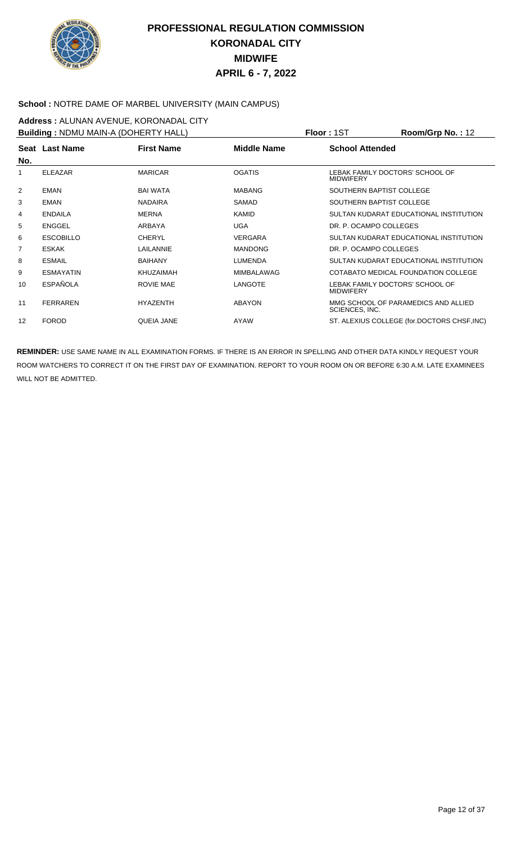

#### **School :** NOTRE DAME OF MARBEL UNIVERSITY (MAIN CAMPUS)

**Address : ALUNAN AVENUE, KORONADAL CITY**<br>**Building : NDMLLMAINLA (DOHERTY HALL) Building :** NDMU MAIN-A (DOHERTY HALL) **Floor :** 1ST **Room/Grp No. :** 12

| <b>Building: NDMU MAIN-A (DOHER IY HALL)</b> |                  |                   |                    | Floor : 15T<br><b>Room/Grp No. : 12</b>               |
|----------------------------------------------|------------------|-------------------|--------------------|-------------------------------------------------------|
| No.                                          | Seat Last Name   | <b>First Name</b> | <b>Middle Name</b> | <b>School Attended</b>                                |
| 1                                            | <b>ELEAZAR</b>   | <b>MARICAR</b>    | <b>OGATIS</b>      | LEBAK FAMILY DOCTORS' SCHOOL OF<br><b>MIDWIFERY</b>   |
| 2                                            | <b>EMAN</b>      | <b>BAI WATA</b>   | <b>MABANG</b>      | SOUTHERN BAPTIST COLLEGE                              |
| 3                                            | EMAN             | <b>NADAIRA</b>    | SAMAD              | SOUTHERN BAPTIST COLLEGE                              |
| 4                                            | <b>ENDAILA</b>   | <b>MERNA</b>      | <b>KAMID</b>       | SULTAN KUDARAT EDUCATIONAL INSTITUTION                |
| 5                                            | <b>ENGGEL</b>    | ARBAYA            | <b>UGA</b>         | DR. P. OCAMPO COLLEGES                                |
| 6                                            | <b>ESCOBILLO</b> | <b>CHERYL</b>     | <b>VERGARA</b>     | SULTAN KUDARAT EDUCATIONAL INSTITUTION                |
| 7                                            | <b>ESKAK</b>     | LAILANNIE         | <b>MANDONG</b>     | DR. P. OCAMPO COLLEGES                                |
| 8                                            | <b>ESMAIL</b>    | <b>BAIHANY</b>    | <b>LUMENDA</b>     | SULTAN KUDARAT EDUCATIONAL INSTITUTION                |
| 9                                            | <b>ESMAYATIN</b> | <b>KHUZAIMAH</b>  | <b>MIMBALAWAG</b>  | COTABATO MEDICAL FOUNDATION COLLEGE                   |
| 10                                           | <b>ESPAÑOLA</b>  | ROVIE MAE         | <b>LANGOTE</b>     | LEBAK FAMILY DOCTORS' SCHOOL OF<br><b>MIDWIFERY</b>   |
| 11                                           | <b>FERRAREN</b>  | <b>HYAZENTH</b>   | <b>ABAYON</b>      | MMG SCHOOL OF PARAMEDICS AND ALLIED<br>SCIENCES, INC. |
| 12                                           | <b>FOROD</b>     | QUEIA JANE        | AYAW               | ST. ALEXIUS COLLEGE (for.DOCTORS CHSF, INC)           |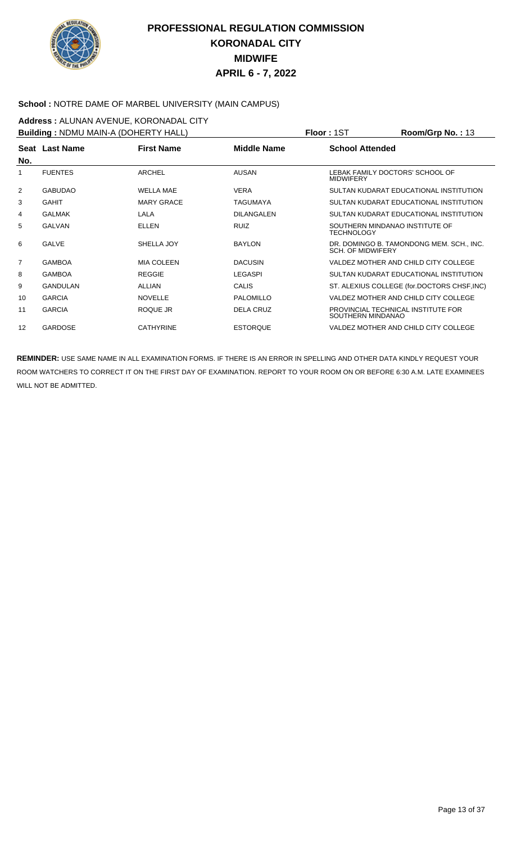

#### **School :** NOTRE DAME OF MARBEL UNIVERSITY (MAIN CAMPUS)

**Address :** ALUNAN AVENUE, KORONADAL CITY **Building :** NDMU MAIN-A (DOHERTY HALL) **Floor :** 1ST **Room/Grp No. :** 13

| <b>Bullaing:</b> NDMU MAIN-A (DOHERTY HALL) |                |                   |                   | PIOOT: IST               | ROOM/UID NO. : 13                           |
|---------------------------------------------|----------------|-------------------|-------------------|--------------------------|---------------------------------------------|
| No.                                         | Seat Last Name | <b>First Name</b> | Middle Name       | <b>School Attended</b>   |                                             |
|                                             | <b>FUENTES</b> | <b>ARCHEL</b>     | <b>AUSAN</b>      | <b>MIDWIFERY</b>         | LEBAK FAMILY DOCTORS' SCHOOL OF             |
| $\overline{2}$                              | <b>GABUDAO</b> | <b>WELLA MAE</b>  | <b>VERA</b>       |                          | SULTAN KUDARAT EDUCATIONAL INSTITUTION      |
| 3                                           | <b>GAHIT</b>   | <b>MARY GRACE</b> | TAGUMAYA          |                          | SULTAN KUDARAT EDUCATIONAL INSTITUTION      |
| 4                                           | <b>GALMAK</b>  | LALA              | <b>DILANGALEN</b> |                          | SULTAN KUDARAT EDUCATIONAL INSTITUTION      |
| 5                                           | GALVAN         | <b>ELLEN</b>      | <b>RUIZ</b>       | TECHNOLOGY               | SOUTHERN MINDANAO INSTITUTE OF              |
| 6                                           | <b>GALVE</b>   | SHELLA JOY        | <b>BAYLON</b>     | <b>SCH. OF MIDWIFERY</b> | DR. DOMINGO B. TAMONDONG MEM. SCH., INC.    |
| $\overline{7}$                              | <b>GAMBOA</b>  | <b>MIA COLEEN</b> | <b>DACUSIN</b>    |                          | VALDEZ MOTHER AND CHILD CITY COLLEGE        |
| 8                                           | <b>GAMBOA</b>  | <b>REGGIE</b>     | LEGASPI           |                          | SULTAN KUDARAT EDUCATIONAL INSTITUTION      |
| 9                                           | GANDULAN       | ALLIAN            | <b>CALIS</b>      |                          | ST. ALEXIUS COLLEGE (for.DOCTORS CHSF, INC) |
| 10                                          | <b>GARCIA</b>  | <b>NOVELLE</b>    | <b>PALOMILLO</b>  |                          | VALDEZ MOTHER AND CHILD CITY COLLEGE        |
| 11                                          | <b>GARCIA</b>  | ROQUE JR          | <b>DELA CRUZ</b>  | SOUTHERN MINDANAO        | PROVINCIAL TECHNICAL INSTITUTE FOR          |
| 12                                          | <b>GARDOSE</b> | <b>CATHYRINE</b>  | <b>ESTORQUE</b>   |                          | VALDEZ MOTHER AND CHILD CITY COLLEGE        |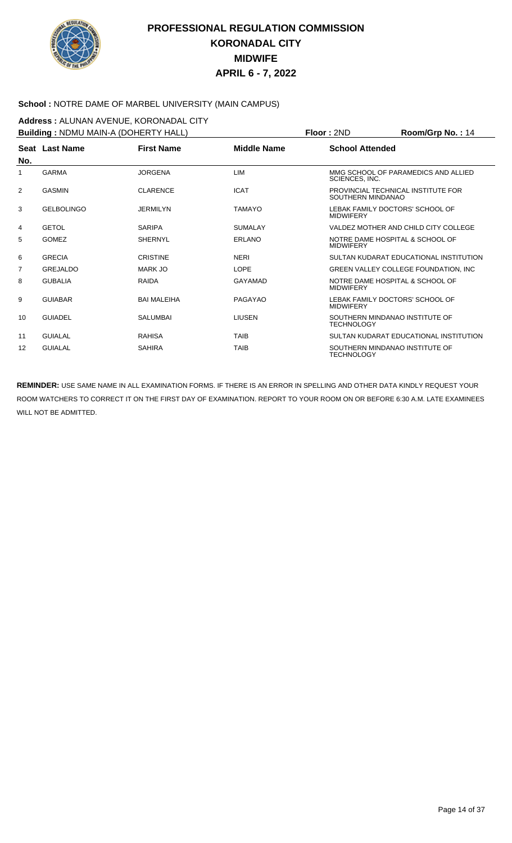

#### **School :** NOTRE DAME OF MARBEL UNIVERSITY (MAIN CAMPUS)

**Address :** ALUNAN AVENUE, KORONADAL CITY **Building :** NDMU MAIN-A (DOHERTY HALL) **Floor :** 2ND **Room/Grp No. :** 14

|                | <b>BUILDING</b> . INDIVID MAIN-A (DOTIERTT TIALL) |                    |                    | FIUUI.ZIVU<br><b>NUUIII/UI µ IVU.</b> . 14              |
|----------------|---------------------------------------------------|--------------------|--------------------|---------------------------------------------------------|
| No.            | Seat Last Name                                    | <b>First Name</b>  | <b>Middle Name</b> | <b>School Attended</b>                                  |
| 1              | <b>GARMA</b>                                      | <b>JORGENA</b>     | <b>LIM</b>         | MMG SCHOOL OF PARAMEDICS AND ALLIED<br>SCIENCES, INC.   |
| 2              | <b>GASMIN</b>                                     | <b>CLARENCE</b>    | <b>ICAT</b>        | PROVINCIAL TECHNICAL INSTITUTE FOR<br>SOUTHERN MINDANAO |
| 3              | <b>GELBOLINGO</b>                                 | <b>JERMILYN</b>    | <b>TAMAYO</b>      | LEBAK FAMILY DOCTORS' SCHOOL OF<br><b>MIDWIFERY</b>     |
| 4              | <b>GETOL</b>                                      | <b>SARIPA</b>      | <b>SUMALAY</b>     | VALDEZ MOTHER AND CHILD CITY COLLEGE                    |
| 5              | <b>GOMEZ</b>                                      | <b>SHERNYL</b>     | ERLANO             | NOTRE DAME HOSPITAL & SCHOOL OF<br><b>MIDWIFERY</b>     |
| 6              | <b>GRECIA</b>                                     | <b>CRISTINE</b>    | <b>NERI</b>        | SULTAN KUDARAT EDUCATIONAL INSTITUTION                  |
| $\overline{7}$ | GREJALDO                                          | MARK JO            | <b>LOPE</b>        | GREEN VALLEY COLLEGE FOUNDATION, INC.                   |
| 8              | <b>GUBALIA</b>                                    | <b>RAIDA</b>       | <b>GAYAMAD</b>     | NOTRE DAME HOSPITAL & SCHOOL OF<br><b>MIDWIFERY</b>     |
| 9              | <b>GUIABAR</b>                                    | <b>BAI MALEIHA</b> | PAGAYAO            | LEBAK FAMILY DOCTORS' SCHOOL OF<br><b>MIDWIFERY</b>     |
| 10             | <b>GUIADEL</b>                                    | <b>SALUMBAI</b>    | <b>LIUSEN</b>      | SOUTHERN MINDANAO INSTITUTE OF<br><b>TECHNOLOGY</b>     |
| 11             | <b>GUIALAL</b>                                    | <b>RAHISA</b>      | <b>TAIB</b>        | SULTAN KUDARAT EDUCATIONAL INSTITUTION                  |
| 12             | <b>GUIALAL</b>                                    | <b>SAHIRA</b>      | <b>TAIB</b>        | SOUTHERN MINDANAO INSTITUTE OF<br><b>TECHNOLOGY</b>     |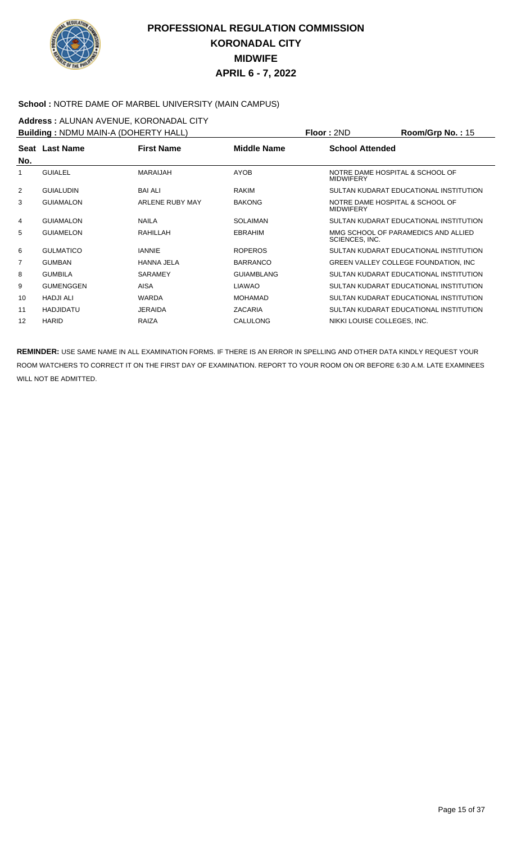

#### **School :** NOTRE DAME OF MARBEL UNIVERSITY (MAIN CAMPUS)

**Address : ALUNAN AVENUE, KORONADAL CITY**<br>**Building : NDMLLMAINLA (DOHERTY HALL) Building :** NDMU MAIN-A (DOHERTY HALL) **Floor :** 2ND **Room/Grp No. :** 15

| <b>Building: NDMU MAIN-A (DOHERTY HALL)</b> |                  |                   |                    | Floor : 2ND                                         | Room/Grp No. : 15                      |
|---------------------------------------------|------------------|-------------------|--------------------|-----------------------------------------------------|----------------------------------------|
|                                             | Seat Last Name   | <b>First Name</b> | <b>Middle Name</b> | <b>School Attended</b>                              |                                        |
| No.                                         |                  |                   |                    |                                                     |                                        |
|                                             | <b>GUIALEL</b>   | <b>MARAIJAH</b>   | <b>AYOB</b>        | NOTRE DAME HOSPITAL & SCHOOL OF<br><b>MIDWIFERY</b> |                                        |
| $\overline{2}$                              | <b>GUIALUDIN</b> | <b>BAI ALI</b>    | RAKIM              |                                                     | SULTAN KUDARAT EDUCATIONAL INSTITUTION |
| 3                                           | <b>GUIAMALON</b> | ARLENE RUBY MAY   | <b>BAKONG</b>      | NOTRE DAME HOSPITAL & SCHOOL OF<br><b>MIDWIFERY</b> |                                        |
| 4                                           | <b>GUIAMALON</b> | <b>NAILA</b>      | <b>SOLAIMAN</b>    |                                                     | SULTAN KUDARAT EDUCATIONAL INSTITUTION |
| 5                                           | <b>GUIAMELON</b> | RAHILLAH          | <b>EBRAHIM</b>     | SCIENCES, INC.                                      | MMG SCHOOL OF PARAMEDICS AND ALLIED    |
| 6                                           | <b>GULMATICO</b> | <b>IANNIE</b>     | <b>ROPEROS</b>     |                                                     | SULTAN KUDARAT EDUCATIONAL INSTITUTION |
| 7                                           | <b>GUMBAN</b>    | <b>HANNA JELA</b> | <b>BARRANCO</b>    |                                                     | GREEN VALLEY COLLEGE FOUNDATION, INC.  |
| 8                                           | <b>GUMBILA</b>   | <b>SARAMEY</b>    | <b>GUIAMBLANG</b>  |                                                     | SULTAN KUDARAT EDUCATIONAL INSTITUTION |
| 9                                           | <b>GUMENGGEN</b> | AISA              | <b>LIAWAO</b>      |                                                     | SULTAN KUDARAT EDUCATIONAL INSTITUTION |
| 10                                          | <b>HADJI ALI</b> | <b>WARDA</b>      | <b>MOHAMAD</b>     |                                                     | SULTAN KUDARAT EDUCATIONAL INSTITUTION |
| 11                                          | <b>HADJIDATU</b> | <b>JERAIDA</b>    | <b>ZACARIA</b>     |                                                     | SULTAN KUDARAT EDUCATIONAL INSTITUTION |
| 12                                          | <b>HARID</b>     | <b>RAIZA</b>      | CALULONG           | NIKKI LOUISE COLLEGES, INC.                         |                                        |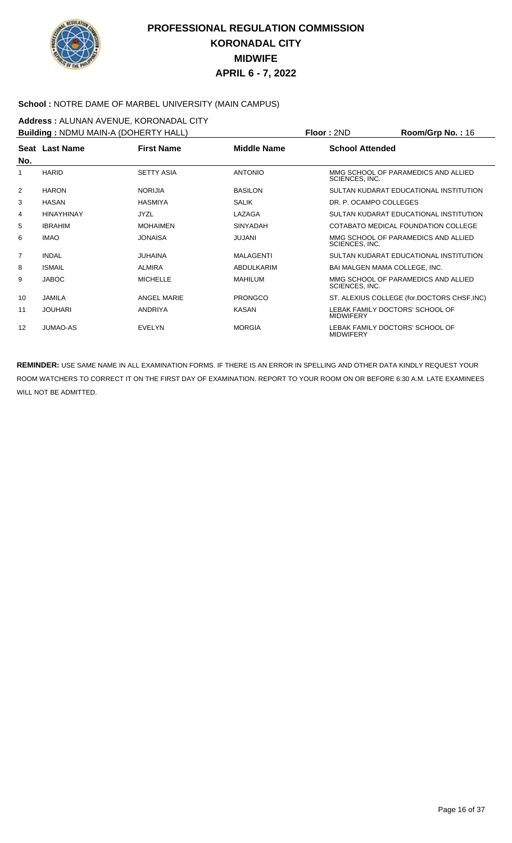

#### **School :** NOTRE DAME OF MARBEL UNIVERSITY (MAIN CAMPUS)

**Address :** ALUNAN AVENUE, KORONADAL CITY **Building :** NDMU MAIN-A (DOHERTY HALL) **Floor :** 2ND **Room/Grp No. :** 16

| <b>Bullaing: NDMU MAIN-A (DOHERTY HALL)</b> |                |                   |                  | <b>FIOOL:</b> SIND                                  | <b>ROOM/GED NO. : 10</b>                    |
|---------------------------------------------|----------------|-------------------|------------------|-----------------------------------------------------|---------------------------------------------|
| No.                                         | Seat Last Name | <b>First Name</b> | Middle Name      | <b>School Attended</b>                              |                                             |
| 1                                           | <b>HARID</b>   | <b>SETTY ASIA</b> | <b>ANTONIO</b>   | SCIENCES, INC.                                      | MMG SCHOOL OF PARAMEDICS AND ALLIED         |
| 2                                           | <b>HARON</b>   | <b>NORIJIA</b>    | <b>BASILON</b>   |                                                     | SULTAN KUDARAT EDUCATIONAL INSTITUTION      |
| 3                                           | <b>HASAN</b>   | <b>HASMIYA</b>    | <b>SALIK</b>     | DR. P. OCAMPO COLLEGES                              |                                             |
| 4                                           | HINAYHINAY     | <b>JYZL</b>       | LAZAGA           |                                                     | SULTAN KUDARAT EDUCATIONAL INSTITUTION      |
| 5                                           | <b>IBRAHIM</b> | <b>MOHAIMEN</b>   | <b>SINYADAH</b>  |                                                     | COTABATO MEDICAL FOUNDATION COLLEGE         |
| 6                                           | <b>IMAO</b>    | <b>JONAISA</b>    | JUJANI           | SCIENCES, INC.                                      | MMG SCHOOL OF PARAMEDICS AND ALLIED         |
| $\overline{7}$                              | <b>INDAL</b>   | <b>JUHAINA</b>    | <b>MALAGENTI</b> |                                                     | SULTAN KUDARAT EDUCATIONAL INSTITUTION      |
| 8                                           | <b>ISMAIL</b>  | <b>ALMIRA</b>     | ABDULKARIM       | BAI MALGEN MAMA COLLEGE, INC.                       |                                             |
| 9                                           | <b>JABOC</b>   | <b>MICHELLE</b>   | <b>MAHILUM</b>   | SCIENCES, INC.                                      | MMG SCHOOL OF PARAMEDICS AND ALLIED         |
| 10                                          | <b>JAMILA</b>  | ANGEL MARIE       | <b>PRONGCO</b>   |                                                     | ST. ALEXIUS COLLEGE (for.DOCTORS CHSF, INC) |
| 11                                          | <b>JOUHARI</b> | <b>ANDRIYA</b>    | <b>KASAN</b>     | LEBAK FAMILY DOCTORS' SCHOOL OF<br><b>MIDWIFERY</b> |                                             |
| 12                                          | JUMAO-AS       | <b>EVELYN</b>     | <b>MORGIA</b>    | LEBAK FAMILY DOCTORS' SCHOOL OF<br><b>MIDWIFERY</b> |                                             |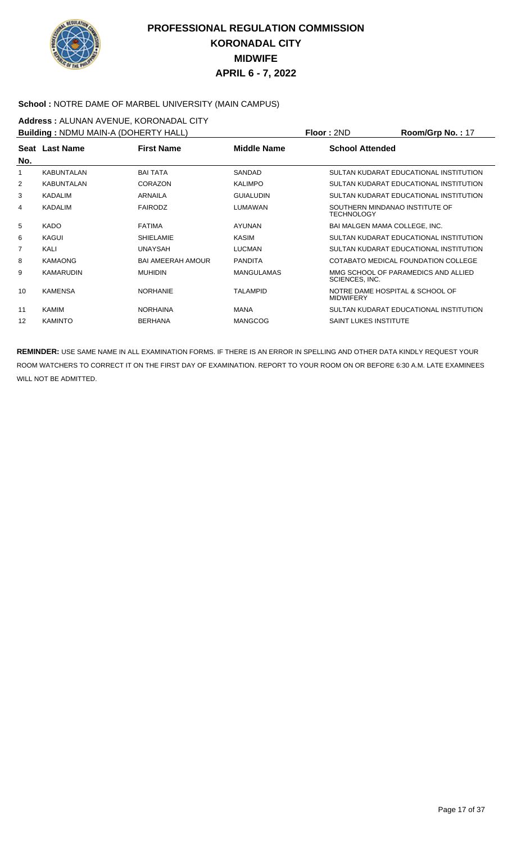

#### **School :** NOTRE DAME OF MARBEL UNIVERSITY (MAIN CAMPUS)

**Address : ALUNAN AVENUE, KORONADAL CITY**<br>**Building : NDMLLMAINLA (DOHERTY HALL) Building :** NDMU MAIN-A (DOHERTY HALL) **Floor :** 2ND **Room/Grp No. :** 17

| <b>Building: NDMU MAIN-A (DOHER IY HALL)</b> |                   |                          |                   | <b>Floor</b> : 2ND                                  | $Room/Grp$ No. : 1/                    |
|----------------------------------------------|-------------------|--------------------------|-------------------|-----------------------------------------------------|----------------------------------------|
| No.                                          | Seat Last Name    | <b>First Name</b>        | Middle Name       | <b>School Attended</b>                              |                                        |
|                                              |                   |                          |                   |                                                     |                                        |
| 1                                            | <b>KABUNTALAN</b> | <b>BAI TATA</b>          | SANDAD            |                                                     | SULTAN KUDARAT EDUCATIONAL INSTITUTION |
| $\overline{2}$                               | <b>KABUNTALAN</b> | CORAZON                  | <b>KALIMPO</b>    |                                                     | SULTAN KUDARAT EDUCATIONAL INSTITUTION |
| 3                                            | <b>KADALIM</b>    | <b>ARNAILA</b>           | <b>GUIALUDIN</b>  |                                                     | SULTAN KUDARAT EDUCATIONAL INSTITUTION |
| 4                                            | KADALIM           | <b>FAIRODZ</b>           | LUMAWAN           | SOUTHERN MINDANAO INSTITUTE OF<br><b>TECHNOLOGY</b> |                                        |
| 5                                            | <b>KADO</b>       | <b>FATIMA</b>            | <b>AYUNAN</b>     | BAI MALGEN MAMA COLLEGE, INC.                       |                                        |
| 6                                            | KAGUI             | <b>SHIELAMIE</b>         | <b>KASIM</b>      |                                                     | SULTAN KUDARAT EDUCATIONAL INSTITUTION |
| $\overline{7}$                               | KALI              | <b>UNAYSAH</b>           | <b>LUCMAN</b>     |                                                     | SULTAN KUDARAT EDUCATIONAL INSTITUTION |
| 8                                            | <b>KAMAONG</b>    | <b>BAI AMEERAH AMOUR</b> | <b>PANDITA</b>    |                                                     | COTABATO MEDICAL FOUNDATION COLLEGE    |
| 9                                            | KAMARUDIN         | <b>MUHIDIN</b>           | <b>MANGULAMAS</b> | SCIENCES, INC.                                      | MMG SCHOOL OF PARAMEDICS AND ALLIED    |
| 10                                           | <b>KAMENSA</b>    | <b>NORHANIE</b>          | <b>TALAMPID</b>   | NOTRE DAME HOSPITAL & SCHOOL OF<br><b>MIDWIFERY</b> |                                        |
| 11                                           | KAMIM             | <b>NORHAINA</b>          | <b>MANA</b>       |                                                     | SULTAN KUDARAT EDUCATIONAL INSTITUTION |
| 12                                           | <b>KAMINTO</b>    | <b>BERHANA</b>           | <b>MANGCOG</b>    | <b>SAINT LUKES INSTITUTE</b>                        |                                        |
|                                              |                   |                          |                   |                                                     |                                        |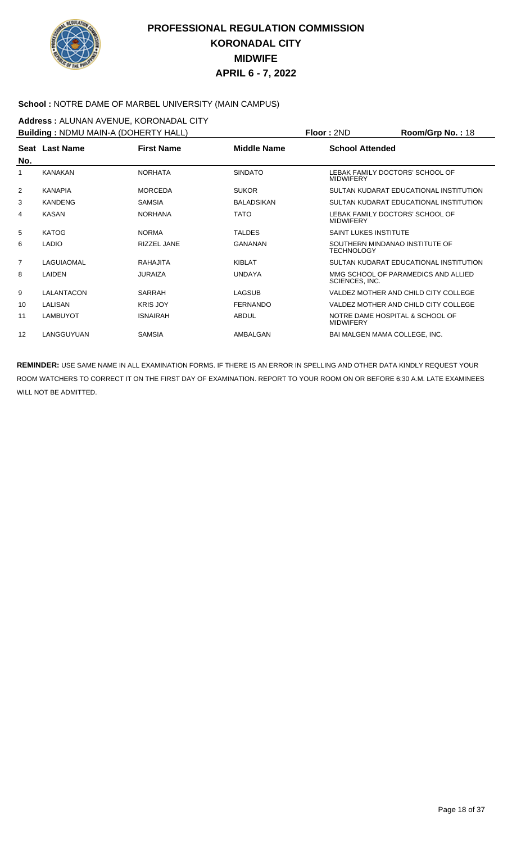

#### **School :** NOTRE DAME OF MARBEL UNIVERSITY (MAIN CAMPUS)

**Address : ALUNAN AVENUE, KORONADAL CITY**<br>**Building : NDMLLMAINLA (DOHERTY HALL) Building :** NDMU MAIN-A (DOHERTY HALL) **Floor :** 2ND **Room/Grp No. :** 18

| <b>Building: NDMU MAIN-A (DOHERTY HALL)</b> |                 |                   |                    | Floor : 2ND                                         | $Room/Grp$ No. : 18                    |
|---------------------------------------------|-----------------|-------------------|--------------------|-----------------------------------------------------|----------------------------------------|
| No.                                         | Seat Last Name  | <b>First Name</b> | <b>Middle Name</b> | <b>School Attended</b>                              |                                        |
|                                             | <b>KANAKAN</b>  | <b>NORHATA</b>    | <b>SINDATO</b>     | <b>MIDWIFERY</b>                                    | LEBAK FAMILY DOCTORS' SCHOOL OF        |
| 2                                           | <b>KANAPIA</b>  | <b>MORCEDA</b>    | <b>SUKOR</b>       |                                                     | SULTAN KUDARAT EDUCATIONAL INSTITUTION |
| 3                                           | <b>KANDENG</b>  | <b>SAMSIA</b>     | <b>BALADSIKAN</b>  |                                                     | SULTAN KUDARAT EDUCATIONAL INSTITUTION |
| 4                                           | <b>KASAN</b>    | <b>NORHANA</b>    | <b>TATO</b>        | LEBAK FAMILY DOCTORS' SCHOOL OF<br><b>MIDWIFERY</b> |                                        |
| 5                                           | <b>KATOG</b>    | <b>NORMA</b>      | <b>TALDES</b>      | <b>SAINT LUKES INSTITUTE</b>                        |                                        |
| 6                                           | <b>LADIO</b>    | RIZZEL JANE       | GANANAN            | <b>TECHNOLOGY</b>                                   | SOUTHERN MINDANAO INSTITUTE OF         |
| $\overline{7}$                              | LAGUIAOMAL      | RAHAJITA          | KIBI AT            |                                                     | SULTAN KUDARAT EDUCATIONAL INSTITUTION |
| 8                                           | LAIDEN          | <b>JURAIZA</b>    | <b>UNDAYA</b>      | SCIENCES, INC.                                      | MMG SCHOOL OF PARAMEDICS AND ALLIED    |
| 9                                           | LALANTACON      | SARRAH            | <b>LAGSUB</b>      |                                                     | VALDEZ MOTHER AND CHILD CITY COLLEGE   |
| 10                                          | LALISAN         | <b>KRIS JOY</b>   | <b>FERNANDO</b>    |                                                     | VALDEZ MOTHER AND CHILD CITY COLLEGE   |
| 11                                          | <b>LAMBUYOT</b> | <b>ISNAIRAH</b>   | <b>ABDUL</b>       | <b>MIDWIFERY</b>                                    | NOTRE DAME HOSPITAL & SCHOOL OF        |
| 12                                          | LANGGUYUAN      | <b>SAMSIA</b>     | AMBALGAN           |                                                     | <b>BAI MALGEN MAMA COLLEGE. INC.</b>   |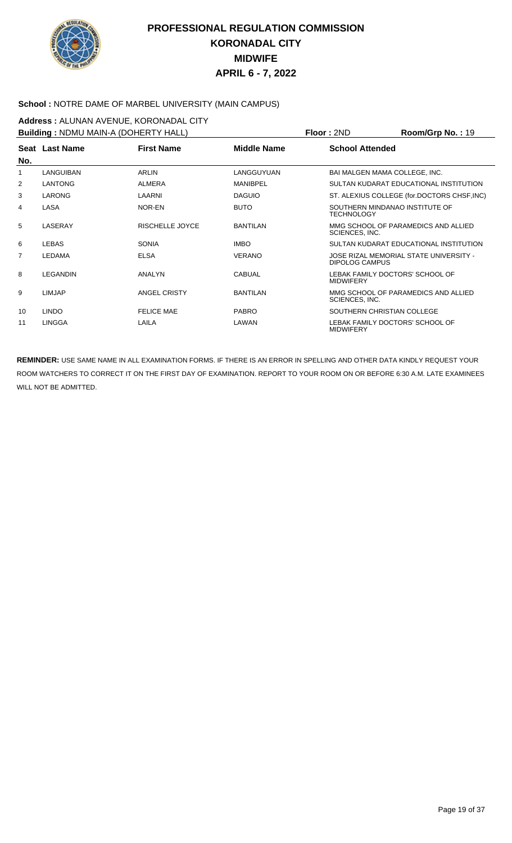

#### **School :** NOTRE DAME OF MARBEL UNIVERSITY (MAIN CAMPUS)

**Address : ALUNAN AVENUE, KORONADAL CITY**<br>**Building : NDMLLMAINLA (DOHERTY HALL) Building :** NDMU MAIN-A (DOHERTY HALL) **Floor :** 2ND **Room/Grp No. :** 19

| <b>Building: NDMU MAIN-A (DOHERTY HALL)</b> |                 |                        |                    | Floor : 2ND<br><b>Room/Grp No. : 19</b>                         |
|---------------------------------------------|-----------------|------------------------|--------------------|-----------------------------------------------------------------|
|                                             | Seat Last Name  | <b>First Name</b>      | <b>Middle Name</b> | <b>School Attended</b>                                          |
| No.                                         |                 |                        |                    |                                                                 |
| 1                                           | LANGUIBAN       | <b>ARLIN</b>           | LANGGUYUAN         | BAI MALGEN MAMA COLLEGE, INC.                                   |
| $\overline{2}$                              | <b>LANTONG</b>  | <b>ALMERA</b>          | <b>MANIBPEL</b>    | SULTAN KUDARAT EDUCATIONAL INSTITUTION                          |
| 3                                           | <b>LARONG</b>   | LAARNI                 | <b>DAGUIO</b>      | ST. ALEXIUS COLLEGE (for.DOCTORS CHSF, INC)                     |
| 4                                           | LASA            | NOR-EN                 | <b>BUTO</b>        | SOUTHERN MINDANAO INSTITUTE OF<br><b>TECHNOLOGY</b>             |
| 5                                           | LASERAY         | <b>RISCHELLE JOYCE</b> | <b>BANTILAN</b>    | MMG SCHOOL OF PARAMEDICS AND ALLIED<br>SCIENCES, INC.           |
| 6                                           | <b>LEBAS</b>    | <b>SONIA</b>           | <b>IMBO</b>        | SULTAN KUDARAT EDUCATIONAL INSTITUTION                          |
| 7                                           | <b>LEDAMA</b>   | <b>ELSA</b>            | <b>VERANO</b>      | JOSE RIZAL MEMORIAL STATE UNIVERSITY -<br><b>DIPOLOG CAMPUS</b> |
| 8                                           | <b>LEGANDIN</b> | ANALYN                 | <b>CABUAL</b>      | LEBAK FAMILY DOCTORS' SCHOOL OF<br><b>MIDWIFERY</b>             |
| 9                                           | <b>LIMJAP</b>   | <b>ANGEL CRISTY</b>    | <b>BANTILAN</b>    | MMG SCHOOL OF PARAMEDICS AND ALLIED<br>SCIENCES, INC.           |
| 10                                          | <b>LINDO</b>    | <b>FELICE MAE</b>      | <b>PABRO</b>       | SOUTHERN CHRISTIAN COLLEGE                                      |
| 11                                          | <b>LINGGA</b>   | LAILA                  | LAWAN              | LEBAK FAMILY DOCTORS' SCHOOL OF<br><b>MIDWIFERY</b>             |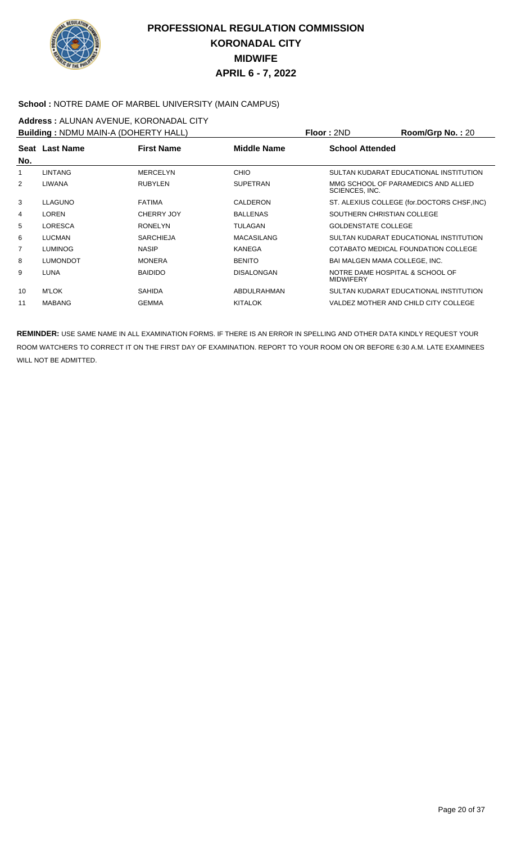

#### **School :** NOTRE DAME OF MARBEL UNIVERSITY (MAIN CAMPUS)

**Address :** ALUNAN AVENUE, KORONADAL CITY **Building :** NDMU MAIN-A (DOHERTY HALL) **Floor :** 2ND **Room/Grp No. :** 20

| <b>Building: NDMU MAIN-A (DOHER IY HALL)</b> |                 |                   |                    | Floor : 2ND<br><b>Room/Grp No. : 20</b>               |
|----------------------------------------------|-----------------|-------------------|--------------------|-------------------------------------------------------|
| No.                                          | Seat Last Name  | <b>First Name</b> | <b>Middle Name</b> | <b>School Attended</b>                                |
|                                              | <b>LINTANG</b>  | <b>MERCELYN</b>   | <b>CHIO</b>        | SULTAN KUDARAT EDUCATIONAL INSTITUTION                |
|                                              |                 |                   |                    |                                                       |
| $\overline{2}$                               | LIWANA          | <b>RUBYLEN</b>    | <b>SUPETRAN</b>    | MMG SCHOOL OF PARAMEDICS AND ALLIED<br>SCIENCES, INC. |
| 3                                            | <b>LLAGUNO</b>  | <b>FATIMA</b>     | CALDERON           | ST. ALEXIUS COLLEGE (for.DOCTORS CHSF, INC)           |
| 4                                            | LOREN           | <b>CHERRY JOY</b> | <b>BALLENAS</b>    | SOUTHERN CHRISTIAN COLLEGE                            |
| 5                                            | <b>LORESCA</b>  | <b>RONELYN</b>    | <b>TULAGAN</b>     | <b>GOLDENSTATE COLLEGE</b>                            |
| 6                                            | <b>LUCMAN</b>   | <b>SARCHIEJA</b>  | <b>MACASILANG</b>  | SULTAN KUDARAT EDUCATIONAL INSTITUTION                |
| $\overline{7}$                               | <b>LUMINOG</b>  | <b>NASIP</b>      | <b>KANEGA</b>      | COTABATO MEDICAL FOUNDATION COLLEGE                   |
| 8                                            | <b>LUMONDOT</b> | <b>MONERA</b>     | <b>BENITO</b>      | BAI MALGEN MAMA COLLEGE, INC.                         |
| 9                                            | LUNA            | <b>BAIDIDO</b>    | <b>DISALONGAN</b>  | NOTRE DAME HOSPITAL & SCHOOL OF<br><b>MIDWIFERY</b>   |
| 10 <sup>°</sup>                              | <b>M'LOK</b>    | <b>SAHIDA</b>     | ABDULRAHMAN        | SULTAN KUDARAT EDUCATIONAL INSTITUTION                |
| 11                                           | <b>MABANG</b>   | <b>GEMMA</b>      | <b>KITALOK</b>     | VALDEZ MOTHER AND CHILD CITY COLLEGE                  |
|                                              |                 |                   |                    |                                                       |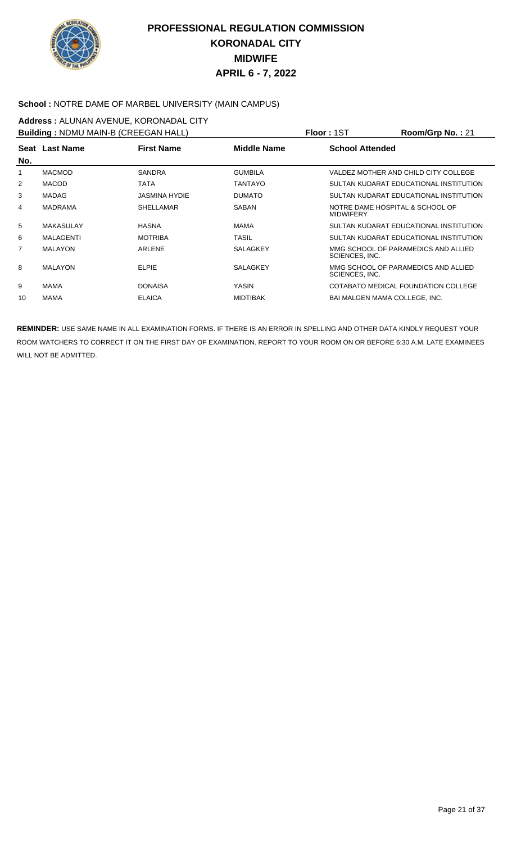

#### **School :** NOTRE DAME OF MARBEL UNIVERSITY (MAIN CAMPUS)

#### **Address : ALUNAN AVENUE, KORONADAL CITY**<br>**Building : NDMLLMAIN-B (CREEGAN HALL) Building :** NDMU MAIN-B (CREEGAN HALL) **Floor :** 1ST **Room/Grp No. :** 21

| <b>Building: NDMU MAIN-B (CREEGAN HALL)</b> |                  |                      |                    | Floor : 15T<br>Room/Grp No.: 21                       |
|---------------------------------------------|------------------|----------------------|--------------------|-------------------------------------------------------|
| No.                                         | Seat Last Name   | <b>First Name</b>    | <b>Middle Name</b> | <b>School Attended</b>                                |
|                                             | <b>MACMOD</b>    | <b>SANDRA</b>        | <b>GUMBILA</b>     | VALDEZ MOTHER AND CHILD CITY COLLEGE                  |
| $\overline{2}$                              | <b>MACOD</b>     | <b>TATA</b>          | TANTAYO            | SULTAN KUDARAT EDUCATIONAL INSTITUTION                |
| 3                                           | <b>MADAG</b>     | <b>JASMINA HYDIE</b> | <b>DUMATO</b>      | SULTAN KUDARAT EDUCATIONAL INSTITUTION                |
| 4                                           | <b>MADRAMA</b>   | <b>SHELLAMAR</b>     | <b>SABAN</b>       | NOTRE DAME HOSPITAL & SCHOOL OF<br><b>MIDWIFERY</b>   |
| 5                                           | <b>MAKASULAY</b> | <b>HASNA</b>         | <b>MAMA</b>        | SULTAN KUDARAT EDUCATIONAL INSTITUTION                |
| 6                                           | MALAGENTI        | <b>MOTRIBA</b>       | <b>TASIL</b>       | SULTAN KUDARAT EDUCATIONAL INSTITUTION                |
| $\overline{7}$                              | <b>MALAYON</b>   | <b>ARLENE</b>        | <b>SALAGKEY</b>    | MMG SCHOOL OF PARAMEDICS AND ALLIED<br>SCIENCES, INC. |
| 8                                           | <b>MALAYON</b>   | <b>ELPIE</b>         | <b>SALAGKEY</b>    | MMG SCHOOL OF PARAMEDICS AND ALLIED<br>SCIENCES, INC. |
| 9                                           | MAMA             | <b>DONAISA</b>       | YASIN              | COTABATO MEDICAL FOUNDATION COLLEGE                   |
| 10                                          | MAMA             | <b>ELAICA</b>        | <b>MIDTIBAK</b>    | BAI MALGEN MAMA COLLEGE, INC.                         |
|                                             |                  |                      |                    |                                                       |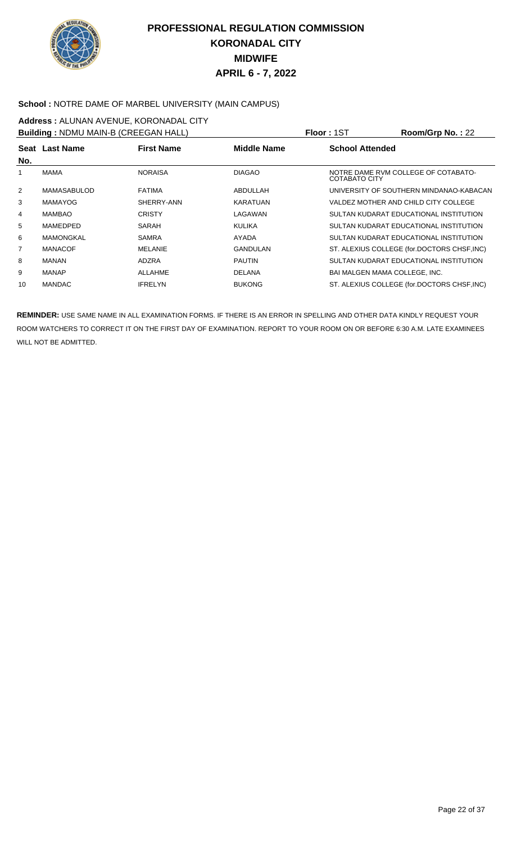

#### **School :** NOTRE DAME OF MARBEL UNIVERSITY (MAIN CAMPUS)

**Address :** ALUNAN AVENUE, KORONADAL CITY **Building :** NDMU MAIN-B (CREEGAN HALL) **Floor :** 1ST **Room/Grp No. :** 22

| <b>Bullaing:</b> NDMU MAIN-B (CREEGAN HALL) |                  |                   |                    | PIOOF: 151             | $\text{Koom/Grp}$ No. : $22$                |
|---------------------------------------------|------------------|-------------------|--------------------|------------------------|---------------------------------------------|
| No.                                         | Seat Last Name   | <b>First Name</b> | <b>Middle Name</b> | <b>School Attended</b> |                                             |
|                                             | MAMA             | <b>NORAISA</b>    | <b>DIAGAO</b>      | COTABATO CITY          | NOTRE DAME RVM COLLEGE OF COTABATO-         |
| $\overline{2}$                              | MAMASABULOD      | <b>FATIMA</b>     | ABDULLAH           |                        | UNIVERSITY OF SOUTHERN MINDANAO-KABACAN     |
| 3                                           | <b>MAMAYOG</b>   | SHERRY-ANN        | <b>KARATUAN</b>    |                        | VALDEZ MOTHER AND CHILD CITY COLLEGE        |
| 4                                           | <b>MAMBAO</b>    | <b>CRISTY</b>     | LAGAWAN            |                        | SULTAN KUDARAT EDUCATIONAL INSTITUTION      |
| 5                                           | MAMEDPED         | SARAH             | <b>KULIKA</b>      |                        | SULTAN KUDARAT EDUCATIONAL INSTITUTION      |
| 6                                           | <b>MAMONGKAL</b> | <b>SAMRA</b>      | AYADA              |                        | SULTAN KUDARAT EDUCATIONAL INSTITUTION      |
| $\overline{7}$                              | <b>MANACOF</b>   | <b>MELANIE</b>    | GANDULAN           |                        | ST. ALEXIUS COLLEGE (for.DOCTORS CHSF, INC) |
| 8                                           | MANAN            | ADZRA             | <b>PAUTIN</b>      |                        | SULTAN KUDARAT EDUCATIONAL INSTITUTION      |
| 9                                           | <b>MANAP</b>     | <b>ALLAHME</b>    | <b>DELANA</b>      |                        | BAI MALGEN MAMA COLLEGE, INC.               |
| 10                                          | <b>MANDAC</b>    | <b>IFRELYN</b>    | <b>BUKONG</b>      |                        | ST. ALEXIUS COLLEGE (for.DOCTORS CHSF, INC) |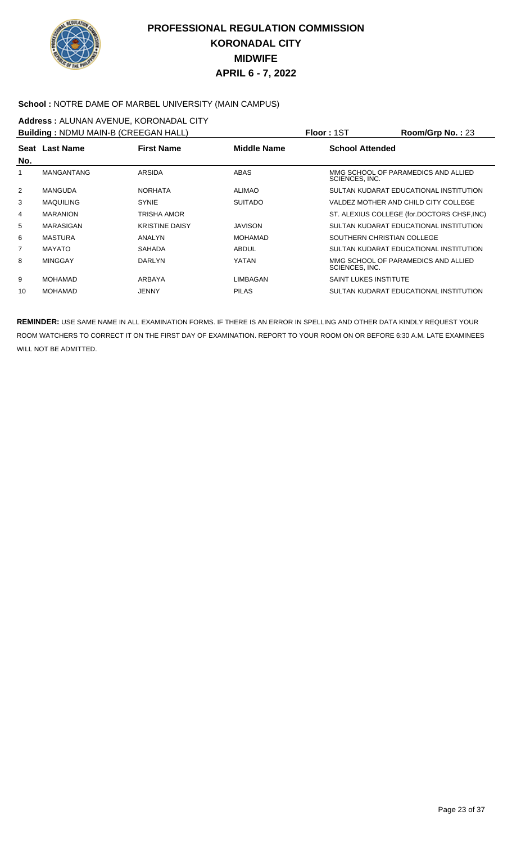

#### **School :** NOTRE DAME OF MARBEL UNIVERSITY (MAIN CAMPUS)

**Address :** ALUNAN AVENUE, KORONADAL CITY **Building :** NDMU MAIN-B (CREEGAN HALL) **Floor :** 1ST **Room/Grp No. :** 23

| <b>Building:</b> NDMU MAIN-B (CREEGAN HALL) |                   |                       |                | <b>FIOOL:</b> 151<br><b>ROOM/Grp NO. : 23</b>         |
|---------------------------------------------|-------------------|-----------------------|----------------|-------------------------------------------------------|
| No.                                         | Seat Last Name    | <b>First Name</b>     | Middle Name    | <b>School Attended</b>                                |
| 1                                           | <b>MANGANTANG</b> | <b>ARSIDA</b>         | <b>ABAS</b>    | MMG SCHOOL OF PARAMEDICS AND ALLIED<br>SCIENCES, INC. |
| 2                                           | <b>MANGUDA</b>    | <b>NORHATA</b>        | <b>ALIMAO</b>  | SULTAN KUDARAT EDUCATIONAL INSTITUTION                |
| 3                                           | <b>MAQUILING</b>  | <b>SYNIE</b>          | <b>SUITADO</b> | VALDEZ MOTHER AND CHILD CITY COLLEGE                  |
| 4                                           | <b>MARANION</b>   | TRISHA AMOR           |                | ST. ALEXIUS COLLEGE (for.DOCTORS CHSF, INC)           |
| 5                                           | <b>MARASIGAN</b>  | <b>KRISTINE DAISY</b> | <b>JAVISON</b> | SULTAN KUDARAT EDUCATIONAL INSTITUTION                |
| 6                                           | <b>MASTURA</b>    | ANALYN                | <b>MOHAMAD</b> | SOUTHERN CHRISTIAN COLLEGE                            |
| $\overline{7}$                              | <b>MAYATO</b>     | <b>SAHADA</b>         | ABDUL          | SULTAN KUDARAT EDUCATIONAL INSTITUTION                |
| 8                                           | <b>MINGGAY</b>    | <b>DARLYN</b>         | YATAN          | MMG SCHOOL OF PARAMEDICS AND ALLIED<br>SCIENCES, INC. |
| 9                                           | <b>MOHAMAD</b>    | ARBAYA                | LIMBAGAN       | <b>SAINT LUKES INSTITUTE</b>                          |
| 10                                          | <b>MOHAMAD</b>    | <b>JENNY</b>          | <b>PILAS</b>   | SULTAN KUDARAT EDUCATIONAL INSTITUTION                |
|                                             |                   |                       |                |                                                       |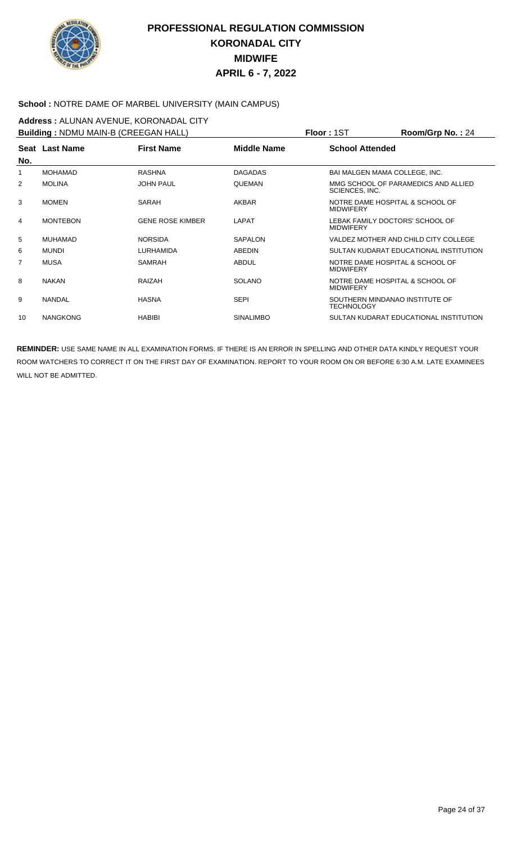

#### **School :** NOTRE DAME OF MARBEL UNIVERSITY (MAIN CAMPUS)

**Address :** ALUNAN AVENUE, KORONADAL CITY

| <b>Building: NDMU MAIN-B (CREEGAN HALL)</b> |                 |                         |                    | <b>Floor: 1ST</b>                                   | $Room/Grp$ No.: 24                     |
|---------------------------------------------|-----------------|-------------------------|--------------------|-----------------------------------------------------|----------------------------------------|
| No.                                         | Seat Last Name  | <b>First Name</b>       | <b>Middle Name</b> | <b>School Attended</b>                              |                                        |
| 1                                           | <b>MOHAMAD</b>  | <b>RASHNA</b>           | <b>DAGADAS</b>     | BAI MALGEN MAMA COLLEGE, INC.                       |                                        |
| 2                                           | <b>MOLINA</b>   | <b>JOHN PAUL</b>        | QUEMAN             | SCIENCES, INC.                                      | MMG SCHOOL OF PARAMEDICS AND ALLIED    |
| 3                                           | <b>MOMEN</b>    | SARAH                   | AKBAR              | NOTRE DAME HOSPITAL & SCHOOL OF<br><b>MIDWIFERY</b> |                                        |
| 4                                           | <b>MONTEBON</b> | <b>GENE ROSE KIMBER</b> | LAPAT              | LEBAK FAMILY DOCTORS' SCHOOL OF<br><b>MIDWIFERY</b> |                                        |
| 5                                           | MUHAMAD         | <b>NORSIDA</b>          | SAPALON            |                                                     | VALDEZ MOTHER AND CHILD CITY COLLEGE   |
| 6                                           | <b>MUNDI</b>    | LURHAMIDA               | ABEDIN             |                                                     | SULTAN KUDARAT EDUCATIONAL INSTITUTION |
| $\overline{7}$                              | <b>MUSA</b>     | SAMRAH                  | <b>ABDUL</b>       | NOTRE DAME HOSPITAL & SCHOOL OF<br><b>MIDWIFERY</b> |                                        |
| 8                                           | <b>NAKAN</b>    | RAIZAH                  | <b>SOLANO</b>      | NOTRE DAME HOSPITAL & SCHOOL OF<br><b>MIDWIFERY</b> |                                        |
| 9                                           | <b>NANDAL</b>   | <b>HASNA</b>            | <b>SEPI</b>        | SOUTHERN MINDANAO INSTITUTE OF<br><b>TECHNOLOGY</b> |                                        |
| 10                                          | <b>NANGKONG</b> | <b>HABIBI</b>           | <b>SINALIMBO</b>   |                                                     | SULTAN KUDARAT EDUCATIONAL INSTITUTION |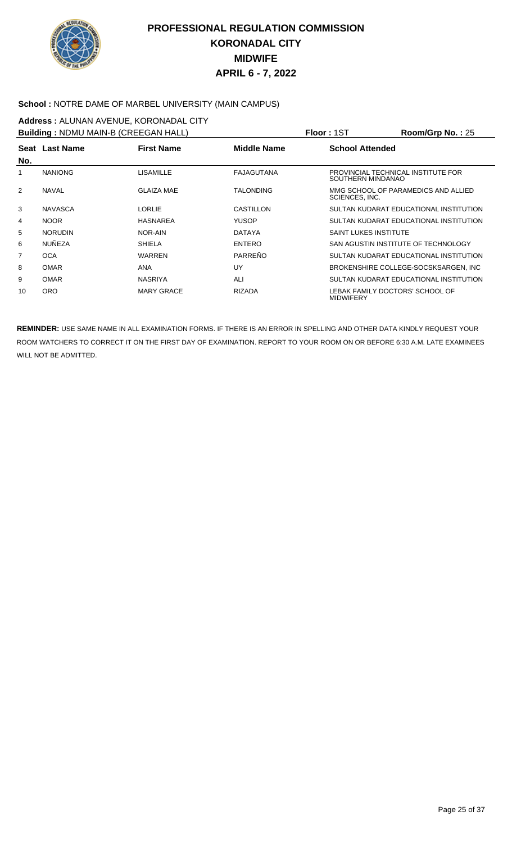

#### **School :** NOTRE DAME OF MARBEL UNIVERSITY (MAIN CAMPUS)

**Address :** ALUNAN AVENUE, KORONADAL CITY **Building :** NDMU MAIN-B (CREEGAN HALL) **Floor :** 1ST **Room/Grp No. :** 25

|     | <b>Building</b> : NDMU MAIN-B (CREEGAN HALL) |                   |                   | PIOOT: IST<br>ROOM/UTD NO. : 25                         |
|-----|----------------------------------------------|-------------------|-------------------|---------------------------------------------------------|
| No. | Seat Last Name                               | <b>First Name</b> | Middle Name       | <b>School Attended</b>                                  |
|     | <b>NANIONG</b>                               | <b>LISAMILLE</b>  | <b>FAJAGUTANA</b> | PROVINCIAL TECHNICAL INSTITUTE FOR<br>SOUTHERN MINDANAO |
| 2   | <b>NAVAL</b>                                 | <b>GLAIZA MAE</b> | <b>TALONDING</b>  | MMG SCHOOL OF PARAMEDICS AND ALLIED<br>SCIENCES, INC.   |
| 3   | <b>NAVASCA</b>                               | <b>LORLIE</b>     | CASTILLON         | SULTAN KUDARAT EDUCATIONAL INSTITUTION                  |
| 4   | <b>NOOR</b>                                  | <b>HASNAREA</b>   | <b>YUSOP</b>      | SULTAN KUDARAT EDUCATIONAL INSTITUTION                  |
| 5   | <b>NORUDIN</b>                               | NOR-AIN           | <b>DATAYA</b>     | <b>SAINT LUKES INSTITUTE</b>                            |
| 6   | <b>NUÑEZA</b>                                | <b>SHIELA</b>     | <b>ENTERO</b>     | SAN AGUSTIN INSTITUTE OF TECHNOLOGY                     |
| 7   | <b>OCA</b>                                   | <b>WARREN</b>     | PARREÑO           | SULTAN KUDARAT EDUCATIONAL INSTITUTION                  |
| 8   | <b>OMAR</b>                                  | <b>ANA</b>        | UY                | BROKENSHIRE COLLEGE-SOCSKSARGEN. INC                    |
| 9   | <b>OMAR</b>                                  | <b>NASRIYA</b>    | ALI               | SULTAN KUDARAT EDUCATIONAL INSTITUTION                  |
| 10  | <b>ORO</b>                                   | <b>MARY GRACE</b> | RIZADA            | LEBAK FAMILY DOCTORS' SCHOOL OF<br><b>MIDWIFERY</b>     |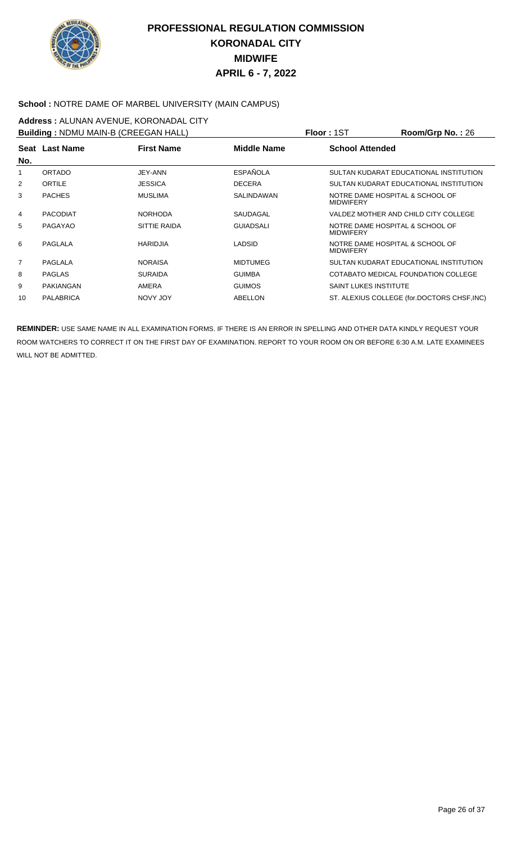

#### **School :** NOTRE DAME OF MARBEL UNIVERSITY (MAIN CAMPUS)

**Address :** ALUNAN AVENUE, KORONADAL CITY **Building :** NDMU MAIN-B (CREEGAN HALL) **Floor :** 1ST **Room/Grp No. :** 26

|                | <b>Bullaing:</b> NDMU MAIN-B (CREEGAN HALL) |                   | <b>FIOOL:</b> 121  | $\text{Koom/Grp}$ No. : 26                          |
|----------------|---------------------------------------------|-------------------|--------------------|-----------------------------------------------------|
| No.            | Seat Last Name                              | <b>First Name</b> | <b>Middle Name</b> | <b>School Attended</b>                              |
|                | ORTADO                                      | JEY-ANN           | <b>ESPAÑOLA</b>    | SULTAN KUDARAT EDUCATIONAL INSTITUTION              |
| $\overline{2}$ | ORTILE                                      | <b>JESSICA</b>    | <b>DECERA</b>      | SULTAN KUDARAT EDUCATIONAL INSTITUTION              |
| 3              | <b>PACHES</b>                               | <b>MUSLIMA</b>    | <b>SALINDAWAN</b>  | NOTRE DAME HOSPITAL & SCHOOL OF<br><b>MIDWIFERY</b> |
| 4              | <b>PACODIAT</b>                             | <b>NORHODA</b>    | SAUDAGAL           | VALDEZ MOTHER AND CHILD CITY COLLEGE                |
| 5              | PAGAYAO                                     | SITTIE RAIDA      | <b>GUIADSALI</b>   | NOTRE DAME HOSPITAL & SCHOOL OF<br><b>MIDWIFERY</b> |
| 6              | PAGLALA                                     | <b>HARIDJIA</b>   | LADSID             | NOTRE DAME HOSPITAL & SCHOOL OF<br><b>MIDWIFERY</b> |
| $\overline{7}$ | PAGLALA                                     | <b>NORAISA</b>    | <b>MIDTUMEG</b>    | SULTAN KUDARAT EDUCATIONAL INSTITUTION              |
| 8              | <b>PAGLAS</b>                               | <b>SURAIDA</b>    | <b>GUIMBA</b>      | COTABATO MEDICAL FOUNDATION COLLEGE                 |
| 9              | PAKIANGAN                                   | AMERA             | <b>GUIMOS</b>      | <b>SAINT LUKES INSTITUTE</b>                        |
| 10             | <b>PALABRICA</b>                            | NOVY JOY          | ABELLON            | ST. ALEXIUS COLLEGE (for.DOCTORS CHSF, INC)         |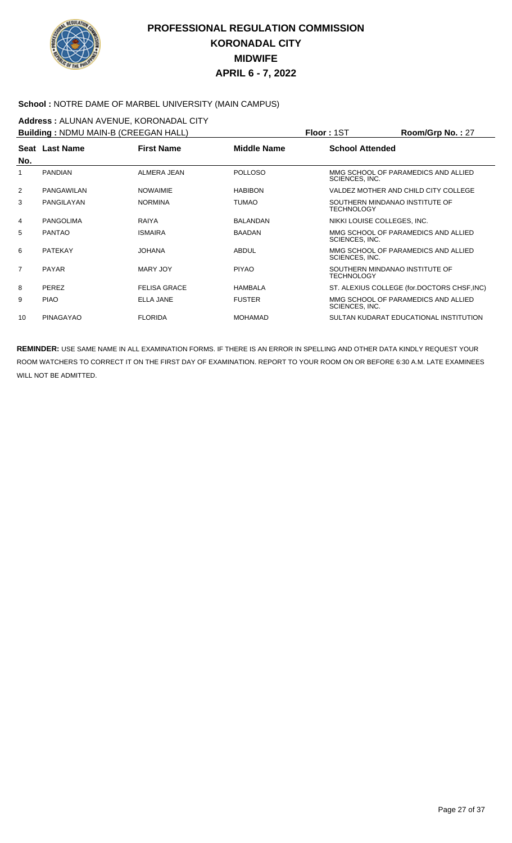

#### **School :** NOTRE DAME OF MARBEL UNIVERSITY (MAIN CAMPUS)

**Address :** ALUNAN AVENUE, KORONADAL CITY **Building :** NDMU MAIN-B (CREEGAN HALL) **Floor :** 1ST **Room/Grp No. :** 27

|                | <b>BUILDING:</b> NUMU MAIN-B (CREEGAN HALL) |                     |                    | <b>FIOOL:</b> 151<br>$\text{Room/Grp}$ No. : 2/       |
|----------------|---------------------------------------------|---------------------|--------------------|-------------------------------------------------------|
| No.            | Seat Last Name                              | <b>First Name</b>   | <b>Middle Name</b> | <b>School Attended</b>                                |
| 1              | <b>PANDIAN</b>                              | ALMERA JEAN         | <b>POLLOSO</b>     | MMG SCHOOL OF PARAMEDICS AND ALLIED<br>SCIENCES, INC. |
| $\overline{2}$ | PANGAWILAN                                  | <b>NOWAIMIE</b>     | <b>HABIBON</b>     | VALDEZ MOTHER AND CHILD CITY COLLEGE                  |
| 3              | PANGILAYAN                                  | <b>NORMINA</b>      | <b>TUMAO</b>       | SOUTHERN MINDANAO INSTITUTE OF<br>TECHNOLOGY          |
| 4              | <b>PANGOLIMA</b>                            | RAIYA               | <b>BALANDAN</b>    | NIKKI LOUISE COLLEGES, INC.                           |
| 5              | <b>PANTAO</b>                               | <b>ISMAIRA</b>      | <b>BAADAN</b>      | MMG SCHOOL OF PARAMEDICS AND ALLIED<br>SCIENCES, INC. |
| 6              | <b>PATEKAY</b>                              | <b>JOHANA</b>       | <b>ABDUL</b>       | MMG SCHOOL OF PARAMEDICS AND ALLIED<br>SCIENCES, INC. |
| $\overline{7}$ | <b>PAYAR</b>                                | MARY JOY            | <b>PIYAO</b>       | SOUTHERN MINDANAO INSTITUTE OF<br>TECHNOLOGY          |
| 8              | <b>PEREZ</b>                                | <b>FELISA GRACE</b> | <b>HAMBALA</b>     | ST. ALEXIUS COLLEGE (for.DOCTORS CHSF, INC)           |
| 9              | <b>PIAO</b>                                 | <b>ELLA JANE</b>    | <b>FUSTER</b>      | MMG SCHOOL OF PARAMEDICS AND ALLIED<br>SCIENCES, INC. |
| 10             | <b>PINAGAYAO</b>                            | <b>FLORIDA</b>      | <b>MOHAMAD</b>     | SULTAN KUDARAT EDUCATIONAL INSTITUTION                |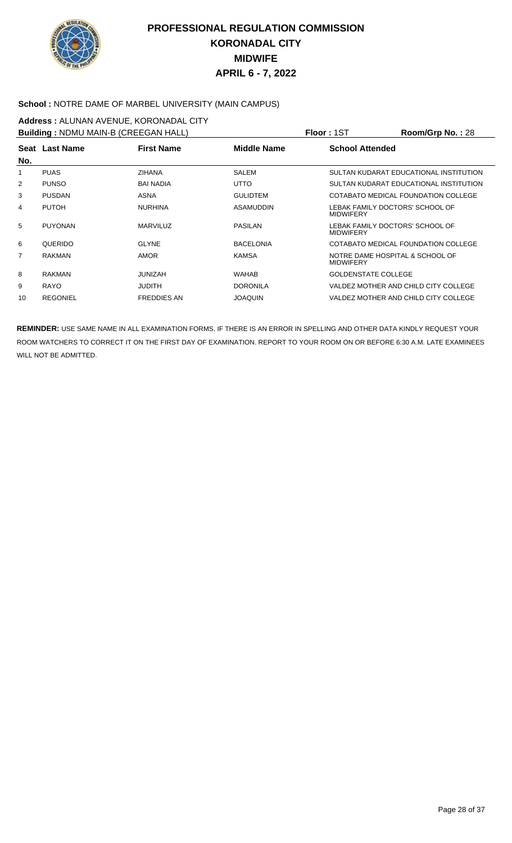

#### **School :** NOTRE DAME OF MARBEL UNIVERSITY (MAIN CAMPUS)

**Address :** ALUNAN AVENUE, KORONADAL CITY **Building :** NDMU MAIN-B (CREEGAN HALL) **Floor :** 1ST **Room/Grp No. :** 28

|     | <b>Building:</b> NDMU MAIN-B (CREEGAN HALL) |                    |                    | <b>FIOOL:</b> 151<br>ROOM/Grp No. : 28              |
|-----|---------------------------------------------|--------------------|--------------------|-----------------------------------------------------|
| No. | Seat Last Name                              | <b>First Name</b>  | <b>Middle Name</b> | <b>School Attended</b>                              |
|     | <b>PUAS</b>                                 | <b>ZIHANA</b>      | SALEM              | SULTAN KUDARAT EDUCATIONAL INSTITUTION              |
| 2   | <b>PUNSO</b>                                | <b>BAI NADIA</b>   | <b>UTTO</b>        | SULTAN KUDARAT EDUCATIONAL INSTITUTION              |
| 3   | <b>PUSDAN</b>                               | ASNA               | <b>GULIDTEM</b>    | COTABATO MEDICAL FOUNDATION COLLEGE                 |
| 4   | <b>PUTOH</b>                                | <b>NURHINA</b>     | ASAMUDDIN          | LEBAK FAMILY DOCTORS' SCHOOL OF<br><b>MIDWIFERY</b> |
| 5   | <b>PUYONAN</b>                              | <b>MARVILUZ</b>    | <b>PASILAN</b>     | LEBAK FAMILY DOCTORS' SCHOOL OF<br><b>MIDWIFERY</b> |
| 6   | QUERIDO                                     | <b>GLYNE</b>       | <b>BACELONIA</b>   | COTABATO MEDICAL FOUNDATION COLLEGE                 |
| 7   | <b>RAKMAN</b>                               | <b>AMOR</b>        | <b>KAMSA</b>       | NOTRE DAME HOSPITAL & SCHOOL OF<br><b>MIDWIFERY</b> |
| 8   | <b>RAKMAN</b>                               | <b>JUNIZAH</b>     | <b>WAHAB</b>       | <b>GOLDENSTATE COLLEGE</b>                          |
| 9   | <b>RAYO</b>                                 | <b>JUDITH</b>      | <b>DORONILA</b>    | VALDEZ MOTHER AND CHILD CITY COLLEGE                |
| 10  | <b>REGONIEL</b>                             | <b>FREDDIES AN</b> | <b>JOAQUIN</b>     | VALDEZ MOTHER AND CHILD CITY COLLEGE                |
|     |                                             |                    |                    |                                                     |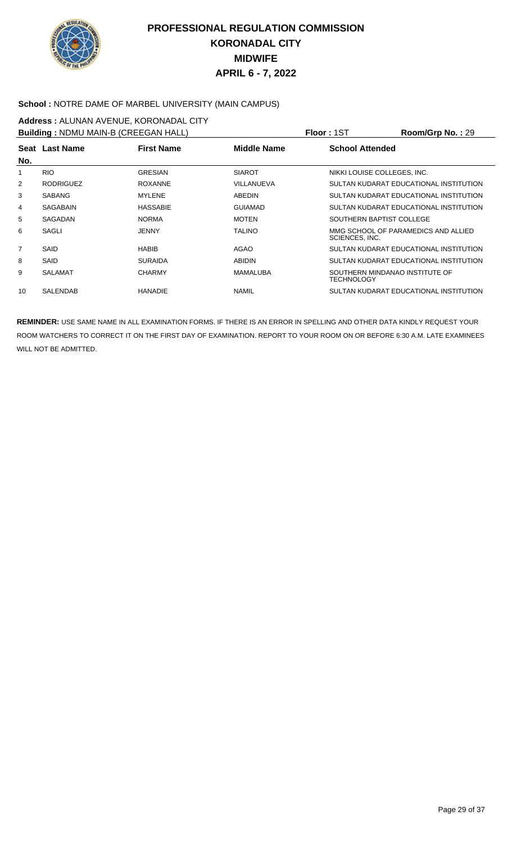

#### **School :** NOTRE DAME OF MARBEL UNIVERSITY (MAIN CAMPUS)

**Address :** ALUNAN AVENUE, KORONADAL CITY **Building :** NDMU MAIN-B (CREEGAN HALL) **Floor :** 1ST **Room/Grp No. :** 29

|                  |                   | <b>FIOOL:</b> 121                           | $\text{Room/Grp}$ No. : 29                            |
|------------------|-------------------|---------------------------------------------|-------------------------------------------------------|
| Seat Last Name   | <b>First Name</b> | Middle Name                                 | <b>School Attended</b>                                |
| <b>RIO</b>       | <b>GRESIAN</b>    | <b>SIAROT</b>                               | NIKKI LOUISE COLLEGES, INC.                           |
| <b>RODRIGUEZ</b> | <b>ROXANNE</b>    | VILLANUEVA                                  | SULTAN KUDARAT EDUCATIONAL INSTITUTION                |
| <b>SABANG</b>    | <b>MYLENE</b>     | ABEDIN                                      | SULTAN KUDARAT EDUCATIONAL INSTITUTION                |
| <b>SAGABAIN</b>  | <b>HASSABIE</b>   | <b>GUIAMAD</b>                              | SULTAN KUDARAT EDUCATIONAL INSTITUTION                |
| SAGADAN          | <b>NORMA</b>      | <b>MOTEN</b>                                | SOUTHERN BAPTIST COLLEGE                              |
| SAGLI            | <b>JENNY</b>      | <b>TALINO</b>                               | MMG SCHOOL OF PARAMEDICS AND ALLIED<br>SCIENCES, INC. |
| SAID             | <b>HABIB</b>      | AGAO                                        | SULTAN KUDARAT EDUCATIONAL INSTITUTION                |
| SAID             | <b>SURAIDA</b>    | <b>ABIDIN</b>                               | SULTAN KUDARAT EDUCATIONAL INSTITUTION                |
| <b>SALAMAT</b>   | <b>CHARMY</b>     | MAMALUBA                                    | SOUTHERN MINDANAO INSTITUTE OF<br>TECHNOLOGY          |
| <b>SALENDAB</b>  | <b>HANADIE</b>    | <b>NAMIL</b>                                | SULTAN KUDARAT EDUCATIONAL INSTITUTION                |
|                  |                   | <b>Bullaing:</b> NDMU MAIN-B (CREEGAN HALL) |                                                       |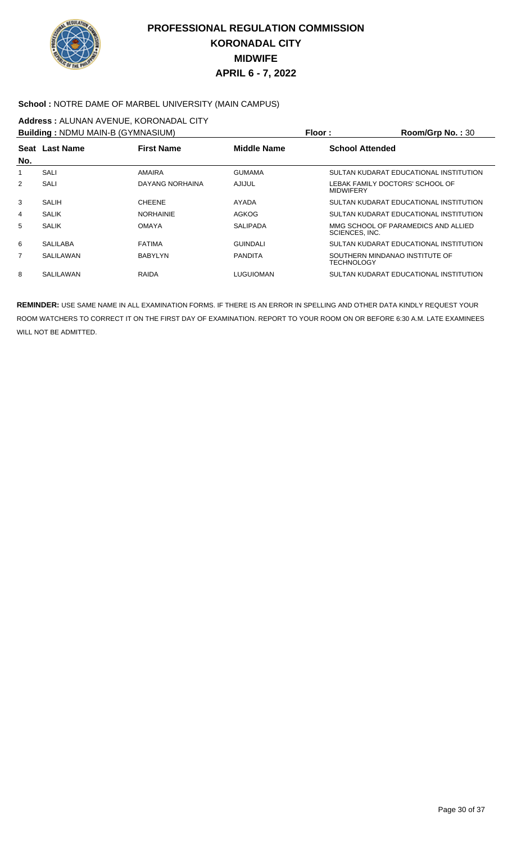

#### **School :** NOTRE DAME OF MARBEL UNIVERSITY (MAIN CAMPUS)

## **Address :** ALUNAN AVENUE, KORONADAL CITY

|     | <b>Building: NDMU MAIN-B (GYMNASIUM)</b> |                   | <b>Floor:</b>      | $Room/Grp$ No.: 30                                    |
|-----|------------------------------------------|-------------------|--------------------|-------------------------------------------------------|
| No. | Seat Last Name                           | <b>First Name</b> | <b>Middle Name</b> | <b>School Attended</b>                                |
| 1   | SALI                                     | AMAIRA            | <b>GUMAMA</b>      | SULTAN KUDARAT EDUCATIONAL INSTITUTION                |
| 2   | SALI                                     | DAYANG NORHAINA   | AJIJUL             | LEBAK FAMILY DOCTORS' SCHOOL OF<br><b>MIDWIFERY</b>   |
| 3   | SALIH                                    | <b>CHEENE</b>     | AYADA              | SULTAN KUDARAT EDUCATIONAL INSTITUTION                |
| 4   | <b>SALIK</b>                             | <b>NORHAINIE</b>  | AGKOG              | SULTAN KUDARAT EDUCATIONAL INSTITUTION                |
| 5   | <b>SALIK</b>                             | <b>OMAYA</b>      | <b>SALIPADA</b>    | MMG SCHOOL OF PARAMEDICS AND ALLIED<br>SCIENCES, INC. |
| 6   | <b>SALILABA</b>                          | <b>FATIMA</b>     | <b>GUINDALI</b>    | SULTAN KUDARAT EDUCATIONAL INSTITUTION                |
| 7   | SALILAWAN                                | <b>BABYLYN</b>    | <b>PANDITA</b>     | SOUTHERN MINDANAO INSTITUTE OF<br><b>TECHNOLOGY</b>   |
| 8   | SALILAWAN                                | <b>RAIDA</b>      | <b>LUGUIOMAN</b>   | SULTAN KUDARAT EDUCATIONAL INSTITUTION                |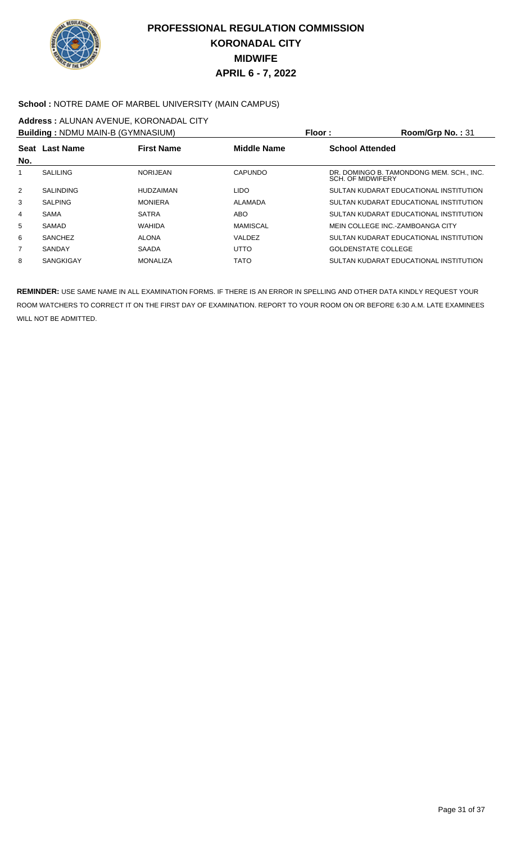

#### **School :** NOTRE DAME OF MARBEL UNIVERSITY (MAIN CAMPUS)

## **Address :** ALUNAN AVENUE, KORONADAL CITY

|                | <b>Building: NDMU MAIN-B (GYMNASIUM)</b> |                   | Floor:             | Room/Grp No.: 31                                                     |
|----------------|------------------------------------------|-------------------|--------------------|----------------------------------------------------------------------|
| No.            | Seat Last Name                           | <b>First Name</b> | <b>Middle Name</b> | <b>School Attended</b>                                               |
|                | SALILING                                 | NORIJEAN          | CAPUNDO            | DR. DOMINGO B. TAMONDONG MEM. SCH., INC.<br><b>SCH. OF MIDWIFERY</b> |
| 2              | <b>SALINDING</b>                         | <b>HUDZAIMAN</b>  | <b>LIDO</b>        | SULTAN KUDARAT EDUCATIONAL INSTITUTION                               |
| 3              | <b>SALPING</b>                           | <b>MONIERA</b>    | ALAMADA            | SULTAN KUDARAT EDUCATIONAL INSTITUTION                               |
| 4              | <b>SAMA</b>                              | <b>SATRA</b>      | ABO                | SULTAN KUDARAT EDUCATIONAL INSTITUTION                               |
| 5              | SAMAD                                    | WAHIDA            | <b>MAMISCAL</b>    | MEIN COLLEGE INC.-ZAMBOANGA CITY                                     |
| 6              | <b>SANCHEZ</b>                           | <b>ALONA</b>      | VALDEZ             | SULTAN KUDARAT EDUCATIONAL INSTITUTION                               |
| $\overline{7}$ | SANDAY                                   | <b>SAADA</b>      | <b>UTTO</b>        | <b>GOLDENSTATE COLLEGE</b>                                           |
| 8              | <b>SANGKIGAY</b>                         | <b>MONALIZA</b>   | <b>TATO</b>        | SULTAN KUDARAT EDUCATIONAL INSTITUTION                               |
|                |                                          |                   |                    |                                                                      |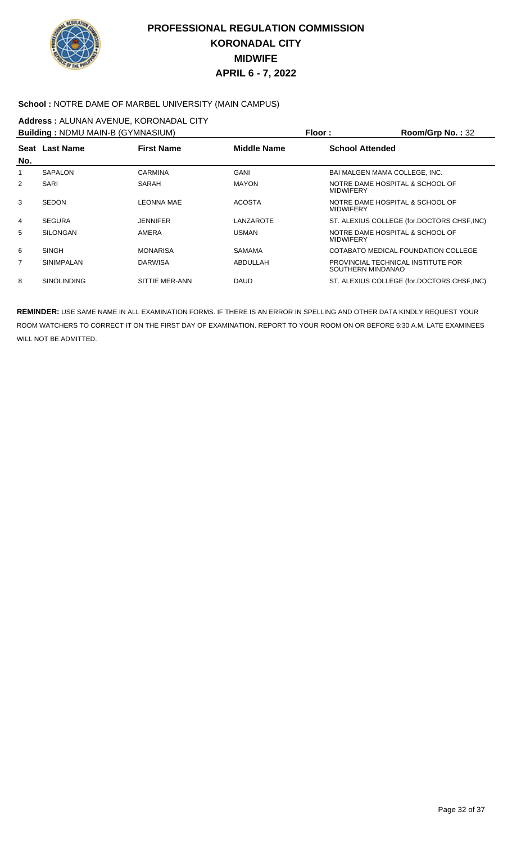

#### **School :** NOTRE DAME OF MARBEL UNIVERSITY (MAIN CAMPUS)

## **Address :** ALUNAN AVENUE, KORONADAL CITY

|                | <b>Building: NDMU MAIN-B (GYMNASIUM)</b> |                   | Floor:             | Room/Grp No.: 32                                        |
|----------------|------------------------------------------|-------------------|--------------------|---------------------------------------------------------|
|                | Seat Last Name                           | <b>First Name</b> | <b>Middle Name</b> | <b>School Attended</b>                                  |
| No.            |                                          |                   |                    |                                                         |
| 1              | <b>SAPALON</b>                           | <b>CARMINA</b>    | GANI               | BAI MALGEN MAMA COLLEGE, INC.                           |
| 2              | SARI                                     | SARAH             | <b>MAYON</b>       | NOTRE DAME HOSPITAL & SCHOOL OF<br><b>MIDWIFERY</b>     |
| 3              | <b>SEDON</b>                             | LEONNA MAE        | <b>ACOSTA</b>      | NOTRE DAME HOSPITAL & SCHOOL OF<br><b>MIDWIFERY</b>     |
| 4              | <b>SEGURA</b>                            | <b>JENNIFER</b>   | LANZAROTE          | ST. ALEXIUS COLLEGE (for.DOCTORS CHSF, INC)             |
| 5              | <b>SILONGAN</b>                          | AMERA             | <b>USMAN</b>       | NOTRE DAME HOSPITAL & SCHOOL OF<br><b>MIDWIFERY</b>     |
| 6              | SINGH                                    | <b>MONARISA</b>   | <b>SAMAMA</b>      | COTABATO MEDICAL FOUNDATION COLLEGE                     |
| $\overline{7}$ | <b>SINIMPALAN</b>                        | <b>DARWISA</b>    | ABDULLAH           | PROVINCIAL TECHNICAL INSTITUTE FOR<br>SOUTHERN MINDANAO |
| 8              | <b>SINOLINDING</b>                       | SITTIE MER-ANN    | <b>DAUD</b>        | ST. ALEXIUS COLLEGE (for.DOCTORS CHSF, INC)             |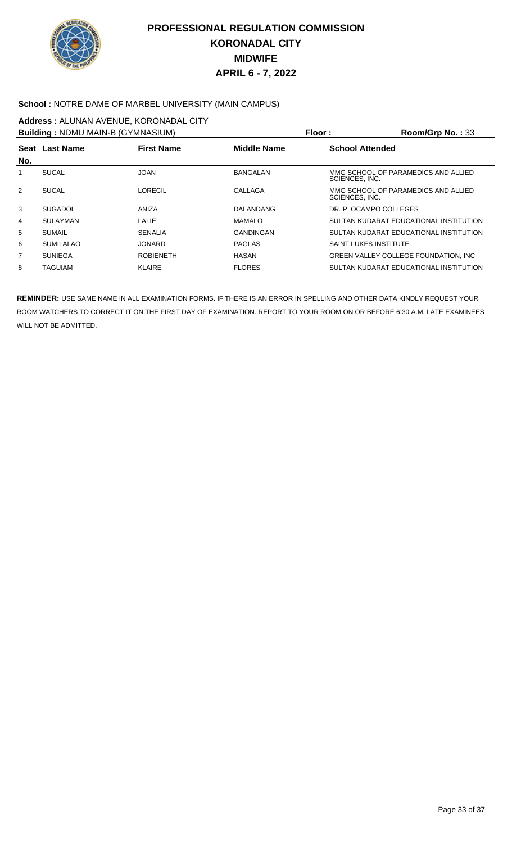

#### School : NOTRE DAME OF MARBEL UNIVERSITY (MAIN CAMPUS)

## **Address :** ALUNAN AVENUE, KORONADAL CITY

|                | <b>Building: NDMU MAIN-B (GYMNASIUM)</b> |                   |                    | Floor :<br>Room/Grp No.: 33                           |
|----------------|------------------------------------------|-------------------|--------------------|-------------------------------------------------------|
|                | Seat Last Name                           | <b>First Name</b> | <b>Middle Name</b> | <b>School Attended</b>                                |
| No.            |                                          |                   |                    |                                                       |
| 1              | <b>SUCAL</b>                             | <b>JOAN</b>       | <b>BANGALAN</b>    | MMG SCHOOL OF PARAMEDICS AND ALLIED<br>SCIENCES, INC. |
| 2              | <b>SUCAL</b>                             | LORECIL           | CALLAGA            | MMG SCHOOL OF PARAMEDICS AND ALLIED<br>SCIENCES, INC. |
| 3              | <b>SUGADOL</b>                           | ANIZA             | <b>DALANDANG</b>   | DR. P. OCAMPO COLLEGES                                |
| $\overline{4}$ | <b>SULAYMAN</b>                          | LALIE             | <b>MAMALO</b>      | SULTAN KUDARAT EDUCATIONAL INSTITUTION                |
| 5              | <b>SUMAIL</b>                            | <b>SENALIA</b>    | <b>GANDINGAN</b>   | SULTAN KUDARAT EDUCATIONAL INSTITUTION                |
| 6              | <b>SUMILALAO</b>                         | <b>JONARD</b>     | <b>PAGLAS</b>      | <b>SAINT LUKES INSTITUTE</b>                          |
| 7              | <b>SUNIEGA</b>                           | <b>ROBIENETH</b>  | HASAN              | <b>GREEN VALLEY COLLEGE FOUNDATION. INC.</b>          |
| 8              | TAGUIAM                                  | <b>KLAIRE</b>     | <b>FLORES</b>      | SULTAN KUDARAT EDUCATIONAL INSTITUTION                |
|                |                                          |                   |                    |                                                       |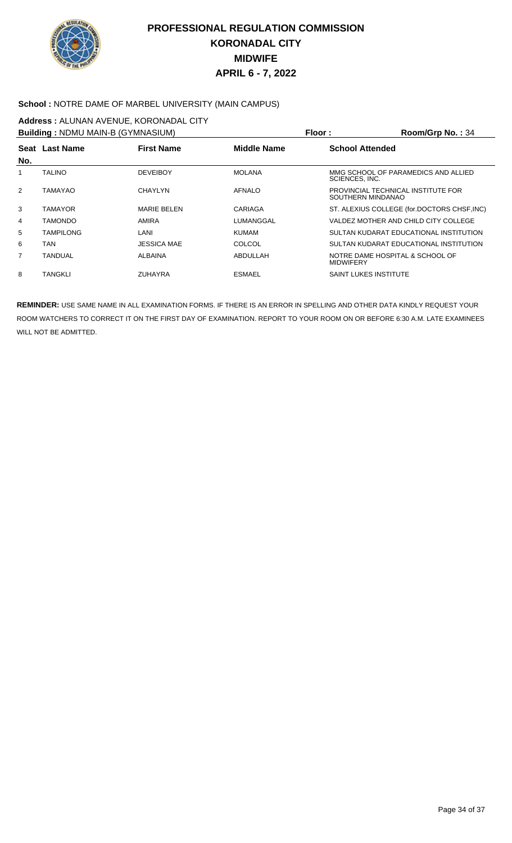

#### **School :** NOTRE DAME OF MARBEL UNIVERSITY (MAIN CAMPUS)

# **Address :** ALUNAN AVENUE, KORONADAL CITY

|     | <b>Building: NDMU MAIN-B (GYMNASIUM)</b> |                    | Floor:         | Room/Grp No.: $34$                                      |
|-----|------------------------------------------|--------------------|----------------|---------------------------------------------------------|
|     | Seat Last Name                           | <b>First Name</b>  | Middle Name    | <b>School Attended</b>                                  |
| No. |                                          |                    |                |                                                         |
|     | <b>TALINO</b>                            | <b>DEVEIBOY</b>    | <b>MOLANA</b>  | MMG SCHOOL OF PARAMEDICS AND ALLIED<br>SCIENCES, INC.   |
| 2   | TAMAYAO                                  | CHAYI YN           | <b>AFNALO</b>  | PROVINCIAL TECHNICAL INSTITUTE FOR<br>SOUTHERN MINDANAO |
| 3   | TAMAYOR                                  | <b>MARIE BELEN</b> | <b>CARIAGA</b> | ST. ALEXIUS COLLEGE (for.DOCTORS CHSF, INC)             |
| 4   | <b>TAMONDO</b>                           | AMIRA              | LUMANGGAL      | VALDEZ MOTHER AND CHILD CITY COLLEGE                    |
| 5   | TAMPILONG                                | LANI               | <b>KUMAM</b>   | SULTAN KUDARAT EDUCATIONAL INSTITUTION                  |
| 6   | TAN                                      | <b>JESSICA MAE</b> | COLCOL         | SULTAN KUDARAT EDUCATIONAL INSTITUTION                  |
| 7   | <b>TANDUAL</b>                           | ALBAINA            | ABDULLAH       | NOTRE DAME HOSPITAL & SCHOOL OF<br><b>MIDWIFERY</b>     |
| 8   | TANGKLI                                  | <b>ZUHAYRA</b>     | <b>ESMAEL</b>  | <b>SAINT LUKES INSTITUTE</b>                            |
|     |                                          |                    |                |                                                         |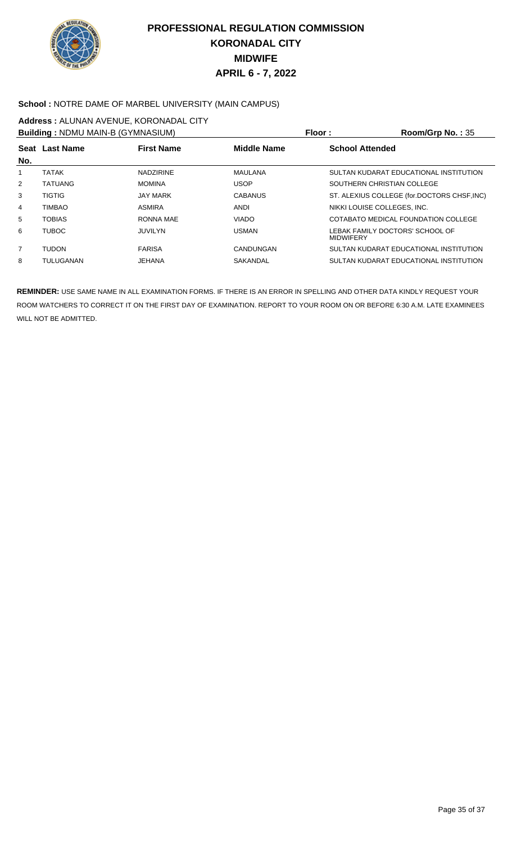

#### **School :** NOTRE DAME OF MARBEL UNIVERSITY (MAIN CAMPUS)

## **Address :** ALUNAN AVENUE, KORONADAL CITY

| <b>Building: NDMU MAIN-B (GYMNASIUM)</b> |                   |                | Room/Grp No.: 35                                    |
|------------------------------------------|-------------------|----------------|-----------------------------------------------------|
|                                          | <b>First Name</b> | Middle Name    | <b>School Attended</b>                              |
| <b>TATAK</b>                             | <b>NADZIRINE</b>  | <b>MAULANA</b> | SULTAN KUDARAT EDUCATIONAL INSTITUTION              |
| <b>TATUANG</b>                           | <b>MOMINA</b>     | <b>USOP</b>    | SOUTHERN CHRISTIAN COLLEGE                          |
| <b>TIGTIG</b>                            | <b>JAY MARK</b>   | <b>CABANUS</b> | ST. ALEXIUS COLLEGE (for.DOCTORS CHSF, INC)         |
| <b>TIMBAO</b>                            | <b>ASMIRA</b>     | <b>ANDI</b>    | NIKKI LOUISE COLLEGES, INC.                         |
| <b>TOBIAS</b>                            | RONNA MAE         | <b>VIADO</b>   | COTABATO MEDICAL FOUNDATION COLLEGE                 |
| <b>TUBOC</b>                             | JUVILYN           | <b>USMAN</b>   | LEBAK FAMILY DOCTORS' SCHOOL OF<br><b>MIDWIFERY</b> |
| <b>TUDON</b>                             | <b>FARISA</b>     | CANDUNGAN      | SULTAN KUDARAT EDUCATIONAL INSTITUTION              |
| TULUGANAN                                | JEHANA            | SAKANDAL       | SULTAN KUDARAT EDUCATIONAL INSTITUTION              |
|                                          | Seat Last Name    |                | Floor:                                              |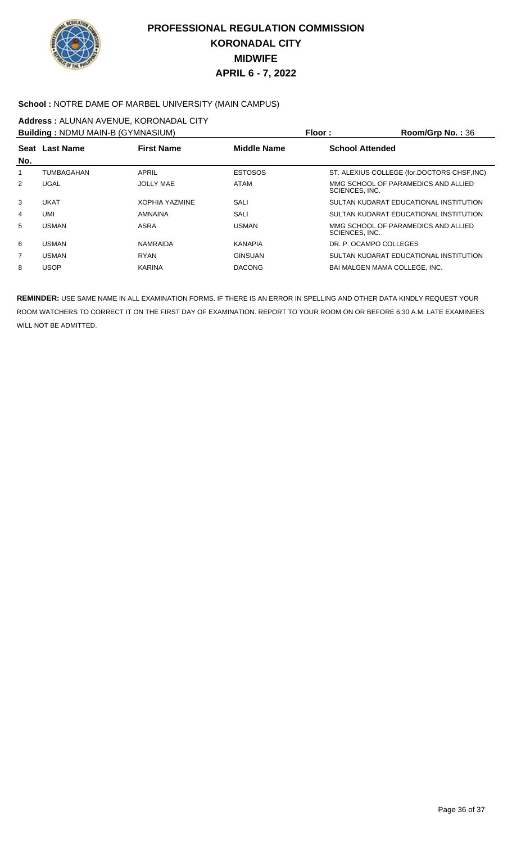

#### **School :** NOTRE DAME OF MARBEL UNIVERSITY (MAIN CAMPUS)

## **Address :** ALUNAN AVENUE, KORONADAL CITY

|     | <b>Building: NDMU MAIN-B (GYMNASIUM)</b> |                              | Floor:             | $Room/Grp$ No.: $36$                                  |
|-----|------------------------------------------|------------------------------|--------------------|-------------------------------------------------------|
| No. | Seat Last Name                           | <b>First Name</b>            | <b>Middle Name</b> | <b>School Attended</b>                                |
| 1   | TUMBAGAHAN                               | APRIL                        | <b>ESTOSOS</b>     | ST. ALEXIUS COLLEGE (for.DOCTORS CHSF, INC)           |
| 2   | <b>UGAL</b>                              | <b>JOLLY MAE</b>             | <b>ATAM</b>        | MMG SCHOOL OF PARAMEDICS AND ALLIED<br>SCIENCES, INC. |
| 3   | <b>UKAT</b>                              | <b><i>XOPHIA YAZMINE</i></b> | SALI               | SULTAN KUDARAT EDUCATIONAL INSTITUTION                |
| 4   | <b>UMI</b>                               | <b>AMNAINA</b>               | SALI               | SULTAN KUDARAT EDUCATIONAL INSTITUTION                |
| 5   | <b>USMAN</b>                             | <b>ASRA</b>                  | <b>USMAN</b>       | MMG SCHOOL OF PARAMEDICS AND ALLIED<br>SCIENCES, INC. |
| 6   | <b>USMAN</b>                             | <b>NAMRAIDA</b>              | <b>KANAPIA</b>     | DR. P. OCAMPO COLLEGES                                |
| 7   | <b>USMAN</b>                             | <b>RYAN</b>                  | <b>GINSUAN</b>     | SULTAN KUDARAT EDUCATIONAL INSTITUTION                |
| 8   | USOP.                                    | KARINA                       | <b>DACONG</b>      | <b>BAI MALGEN MAMA COLLEGE. INC.</b>                  |
|     |                                          |                              |                    |                                                       |